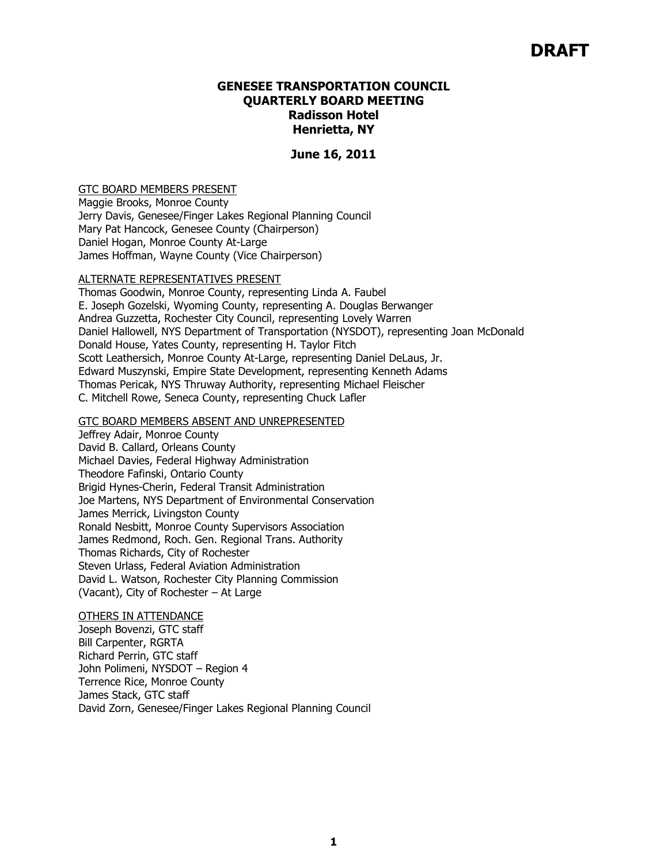# **DRAFT**

#### **GENESEE TRANSPORTATION COUNCIL QUARTERLY BOARD MEETING Radisson Hotel Henrietta, NY**

#### **June 16, 2011**

#### GTC BOARD MEMBERS PRESENT

Maggie Brooks, Monroe County Jerry Davis, Genesee/Finger Lakes Regional Planning Council Mary Pat Hancock, Genesee County (Chairperson) Daniel Hogan, Monroe County At-Large James Hoffman, Wayne County (Vice Chairperson)

#### ALTERNATE REPRESENTATIVES PRESENT

Thomas Goodwin, Monroe County, representing Linda A. Faubel E. Joseph Gozelski, Wyoming County, representing A. Douglas Berwanger Andrea Guzzetta, Rochester City Council, representing Lovely Warren Daniel Hallowell, NYS Department of Transportation (NYSDOT), representing Joan McDonald Donald House, Yates County, representing H. Taylor Fitch Scott Leathersich, Monroe County At-Large, representing Daniel DeLaus, Jr. Edward Muszynski, Empire State Development, representing Kenneth Adams Thomas Pericak, NYS Thruway Authority, representing Michael Fleischer C. Mitchell Rowe, Seneca County, representing Chuck Lafler

#### GTC BOARD MEMBERS ABSENT AND UNREPRESENTED

Jeffrey Adair, Monroe County David B. Callard, Orleans County Michael Davies, Federal Highway Administration Theodore Fafinski, Ontario County Brigid Hynes-Cherin, Federal Transit Administration Joe Martens, NYS Department of Environmental Conservation James Merrick, Livingston County Ronald Nesbitt, Monroe County Supervisors Association James Redmond, Roch. Gen. Regional Trans. Authority Thomas Richards, City of Rochester Steven Urlass, Federal Aviation Administration David L. Watson, Rochester City Planning Commission (Vacant), City of Rochester – At Large

#### OTHERS IN ATTENDANCE

Joseph Bovenzi, GTC staff Bill Carpenter, RGRTA Richard Perrin, GTC staff John Polimeni, NYSDOT – Region 4 Terrence Rice, Monroe County James Stack, GTC staff David Zorn, Genesee/Finger Lakes Regional Planning Council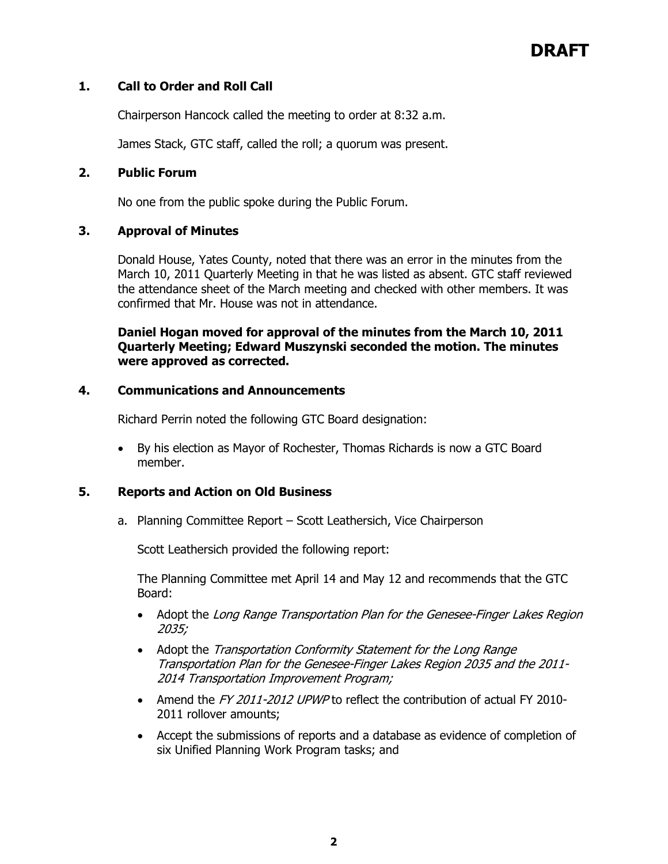# **DRAFT**

# **1. Call to Order and Roll Call**

Chairperson Hancock called the meeting to order at 8:32 a.m.

James Stack, GTC staff, called the roll; a quorum was present.

#### **2. Public Forum**

No one from the public spoke during the Public Forum.

## **3. Approval of Minutes**

Donald House, Yates County, noted that there was an error in the minutes from the March 10, 2011 Quarterly Meeting in that he was listed as absent. GTC staff reviewed the attendance sheet of the March meeting and checked with other members. It was confirmed that Mr. House was not in attendance.

**Daniel Hogan moved for approval of the minutes from the March 10, 2011 Quarterly Meeting; Edward Muszynski seconded the motion. The minutes were approved as corrected.** 

#### **4. Communications and Announcements**

Richard Perrin noted the following GTC Board designation:

• By his election as Mayor of Rochester, Thomas Richards is now a GTC Board member.

## **5. Reports and Action on Old Business**

a. Planning Committee Report – Scott Leathersich, Vice Chairperson

Scott Leathersich provided the following report:

The Planning Committee met April 14 and May 12 and recommends that the GTC Board:

- Adopt the Long Range Transportation Plan for the Genesee-Finger Lakes Region 2035;
- Adopt the Transportation Conformity Statement for the Long Range Transportation Plan for the Genesee-Finger Lakes Region 2035 and the 2011- 2014 Transportation Improvement Program;
- Amend the FY 2011-2012 UPWP to reflect the contribution of actual FY 2010-2011 rollover amounts;
- Accept the submissions of reports and a database as evidence of completion of six Unified Planning Work Program tasks; and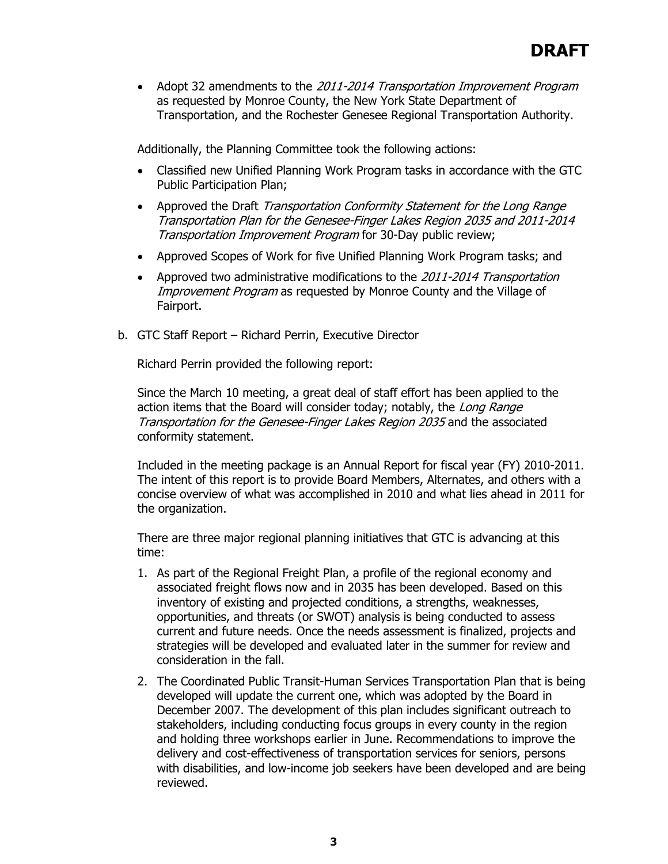• Adopt 32 amendments to the 2011-2014 Transportation Improvement Program as requested by Monroe County, the New York State Department of Transportation, and the Rochester Genesee Regional Transportation Authority.

Additionally, the Planning Committee took the following actions:

- Classified new Unified Planning Work Program tasks in accordance with the GTC Public Participation Plan;
- Approved the Draft Transportation Conformity Statement for the Long Range Transportation Plan for the Genesee-Finger Lakes Region 2035 and 2011-2014 Transportation Improvement Program for 30-Day public review;
- Approved Scopes of Work for five Unified Planning Work Program tasks; and
- Approved two administrative modifications to the 2011-2014 Transportation Improvement Program as requested by Monroe County and the Village of Fairport.
- b. GTC Staff Report Richard Perrin, Executive Director

Richard Perrin provided the following report:

Since the March 10 meeting, a great deal of staff effort has been applied to the action items that the Board will consider today; notably, the Long Range Transportation for the Genesee-Finger Lakes Region 2035 and the associated conformity statement.

Included in the meeting package is an Annual Report for fiscal year (FY) 2010-2011. The intent of this report is to provide Board Members, Alternates, and others with a concise overview of what was accomplished in 2010 and what lies ahead in 2011 for the organization.

There are three major regional planning initiatives that GTC is advancing at this time:

- 1. As part of the Regional Freight Plan, a profile of the regional economy and associated freight flows now and in 2035 has been developed. Based on this inventory of existing and projected conditions, a strengths, weaknesses, opportunities, and threats (or SWOT) analysis is being conducted to assess current and future needs. Once the needs assessment is finalized, projects and strategies will be developed and evaluated later in the summer for review and consideration in the fall.
- 2. The Coordinated Public Transit-Human Services Transportation Plan that is being developed will update the current one, which was adopted by the Board in December 2007. The development of this plan includes significant outreach to stakeholders, including conducting focus groups in every county in the region and holding three workshops earlier in June. Recommendations to improve the delivery and cost-effectiveness of transportation services for seniors, persons with disabilities, and low-income job seekers have been developed and are being reviewed.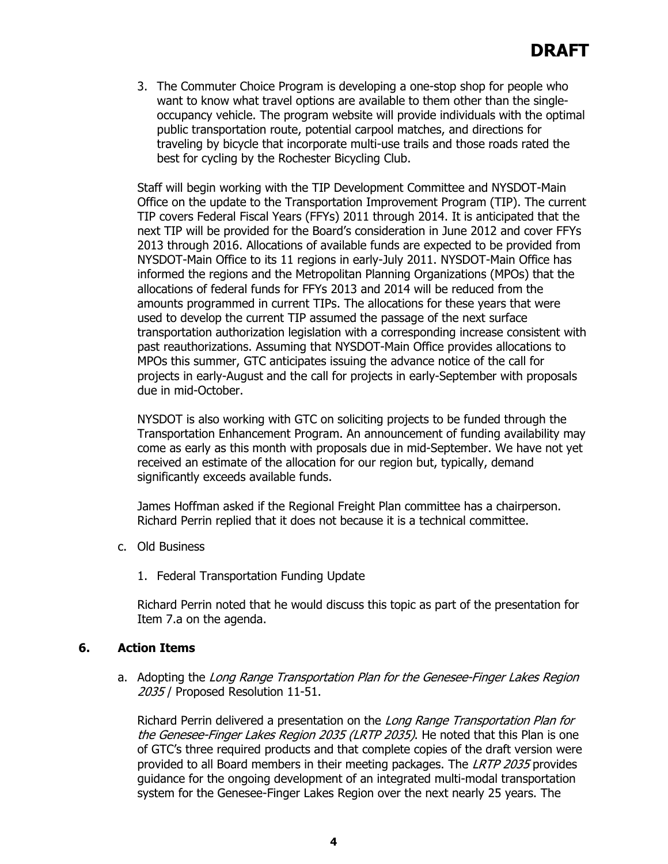3. The Commuter Choice Program is developing a one-stop shop for people who want to know what travel options are available to them other than the singleoccupancy vehicle. The program website will provide individuals with the optimal public transportation route, potential carpool matches, and directions for traveling by bicycle that incorporate multi-use trails and those roads rated the best for cycling by the Rochester Bicycling Club.

Staff will begin working with the TIP Development Committee and NYSDOT-Main Office on the update to the Transportation Improvement Program (TIP). The current TIP covers Federal Fiscal Years (FFYs) 2011 through 2014. It is anticipated that the next TIP will be provided for the Board's consideration in June 2012 and cover FFYs 2013 through 2016. Allocations of available funds are expected to be provided from NYSDOT-Main Office to its 11 regions in early-July 2011. NYSDOT-Main Office has informed the regions and the Metropolitan Planning Organizations (MPOs) that the allocations of federal funds for FFYs 2013 and 2014 will be reduced from the amounts programmed in current TIPs. The allocations for these years that were used to develop the current TIP assumed the passage of the next surface transportation authorization legislation with a corresponding increase consistent with past reauthorizations. Assuming that NYSDOT-Main Office provides allocations to MPOs this summer, GTC anticipates issuing the advance notice of the call for projects in early-August and the call for projects in early-September with proposals due in mid-October.

NYSDOT is also working with GTC on soliciting projects to be funded through the Transportation Enhancement Program. An announcement of funding availability may come as early as this month with proposals due in mid-September. We have not yet received an estimate of the allocation for our region but, typically, demand significantly exceeds available funds.

James Hoffman asked if the Regional Freight Plan committee has a chairperson. Richard Perrin replied that it does not because it is a technical committee.

- c. Old Business
	- 1. Federal Transportation Funding Update

Richard Perrin noted that he would discuss this topic as part of the presentation for Item 7.a on the agenda.

# **6. Action Items**

a. Adopting the Long Range Transportation Plan for the Genesee-Finger Lakes Region 2035 / Proposed Resolution 11-51.

Richard Perrin delivered a presentation on the Long Range Transportation Plan for the Genesee-Finger Lakes Region 2035 (LRTP 2035). He noted that this Plan is one of GTC's three required products and that complete copies of the draft version were provided to all Board members in their meeting packages. The LRTP 2035 provides guidance for the ongoing development of an integrated multi-modal transportation system for the Genesee-Finger Lakes Region over the next nearly 25 years. The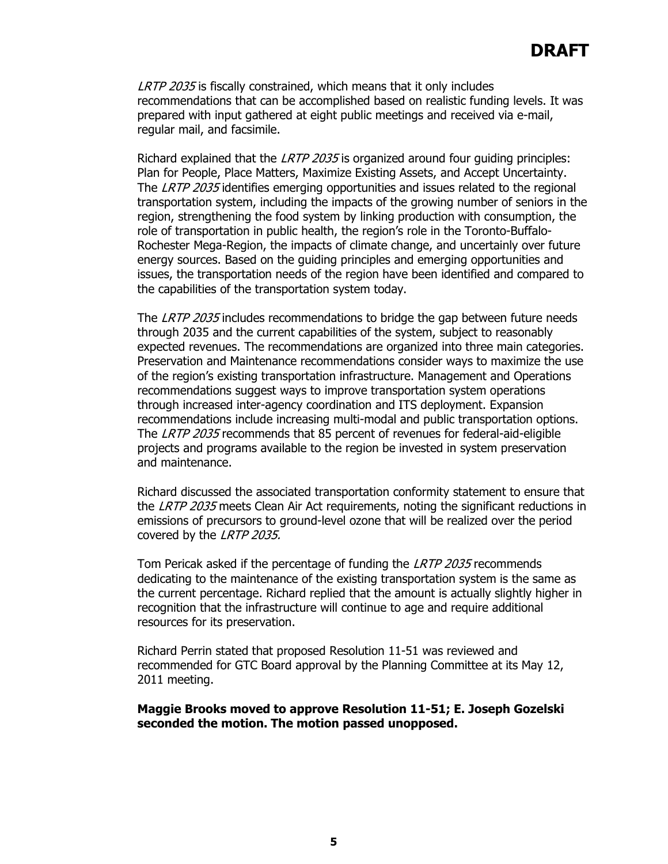# **DRAFT**

LRTP 2035 is fiscally constrained, which means that it only includes recommendations that can be accomplished based on realistic funding levels. It was prepared with input gathered at eight public meetings and received via e-mail, regular mail, and facsimile.

Richard explained that the LRTP 2035 is organized around four quiding principles: Plan for People, Place Matters, Maximize Existing Assets, and Accept Uncertainty. The LRTP 2035 identifies emerging opportunities and issues related to the regional transportation system, including the impacts of the growing number of seniors in the region, strengthening the food system by linking production with consumption, the role of transportation in public health, the region's role in the Toronto-Buffalo-Rochester Mega-Region, the impacts of climate change, and uncertainly over future energy sources. Based on the guiding principles and emerging opportunities and issues, the transportation needs of the region have been identified and compared to the capabilities of the transportation system today.

The LRTP 2035 includes recommendations to bridge the gap between future needs through 2035 and the current capabilities of the system, subject to reasonably expected revenues. The recommendations are organized into three main categories. Preservation and Maintenance recommendations consider ways to maximize the use of the region's existing transportation infrastructure. Management and Operations recommendations suggest ways to improve transportation system operations through increased inter-agency coordination and ITS deployment. Expansion recommendations include increasing multi-modal and public transportation options. The LRTP 2035 recommends that 85 percent of revenues for federal-aid-eligible projects and programs available to the region be invested in system preservation and maintenance.

Richard discussed the associated transportation conformity statement to ensure that the *LRTP 2035* meets Clean Air Act requirements, noting the significant reductions in emissions of precursors to ground-level ozone that will be realized over the period covered by the LRTP 2035.

Tom Pericak asked if the percentage of funding the LRTP 2035 recommends dedicating to the maintenance of the existing transportation system is the same as the current percentage. Richard replied that the amount is actually slightly higher in recognition that the infrastructure will continue to age and require additional resources for its preservation.

Richard Perrin stated that proposed Resolution 11-51 was reviewed and recommended for GTC Board approval by the Planning Committee at its May 12, 2011 meeting.

#### **Maggie Brooks moved to approve Resolution 11-51; E. Joseph Gozelski seconded the motion. The motion passed unopposed.**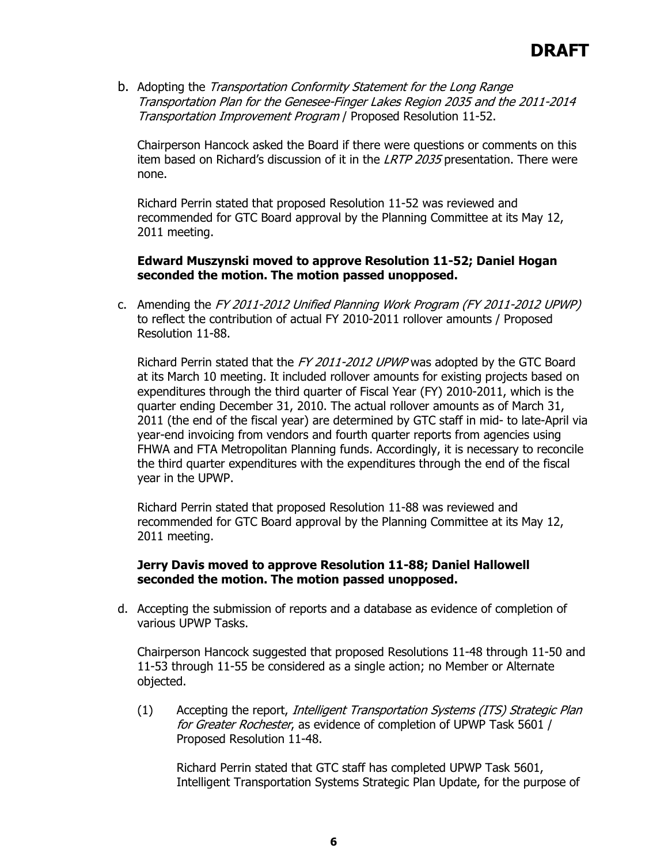b. Adopting the Transportation Conformity Statement for the Long Range Transportation Plan for the Genesee-Finger Lakes Region 2035 and the 2011-2014 Transportation Improvement Program / Proposed Resolution 11-52.

Chairperson Hancock asked the Board if there were questions or comments on this item based on Richard's discussion of it in the LRTP 2035 presentation. There were none.

Richard Perrin stated that proposed Resolution 11-52 was reviewed and recommended for GTC Board approval by the Planning Committee at its May 12, 2011 meeting.

#### **Edward Muszynski moved to approve Resolution 11-52; Daniel Hogan seconded the motion. The motion passed unopposed.**

c. Amending the FY 2011-2012 Unified Planning Work Program (FY 2011-2012 UPWP) to reflect the contribution of actual FY 2010-2011 rollover amounts / Proposed Resolution 11-88.

Richard Perrin stated that the FY 2011-2012 UPWP was adopted by the GTC Board at its March 10 meeting. It included rollover amounts for existing projects based on expenditures through the third quarter of Fiscal Year (FY) 2010-2011, which is the quarter ending December 31, 2010. The actual rollover amounts as of March 31, 2011 (the end of the fiscal year) are determined by GTC staff in mid- to late-April via year-end invoicing from vendors and fourth quarter reports from agencies using FHWA and FTA Metropolitan Planning funds. Accordingly, it is necessary to reconcile the third quarter expenditures with the expenditures through the end of the fiscal year in the UPWP.

Richard Perrin stated that proposed Resolution 11-88 was reviewed and recommended for GTC Board approval by the Planning Committee at its May 12, 2011 meeting.

#### **Jerry Davis moved to approve Resolution 11-88; Daniel Hallowell seconded the motion. The motion passed unopposed.**

d. Accepting the submission of reports and a database as evidence of completion of various UPWP Tasks.

 Chairperson Hancock suggested that proposed Resolutions 11-48 through 11-50 and 11-53 through 11-55 be considered as a single action; no Member or Alternate objected.

(1) Accepting the report, Intelligent Transportation Systems (ITS) Strategic Plan for Greater Rochester, as evidence of completion of UPWP Task 5601 / Proposed Resolution 11-48.

Richard Perrin stated that GTC staff has completed UPWP Task 5601, Intelligent Transportation Systems Strategic Plan Update, for the purpose of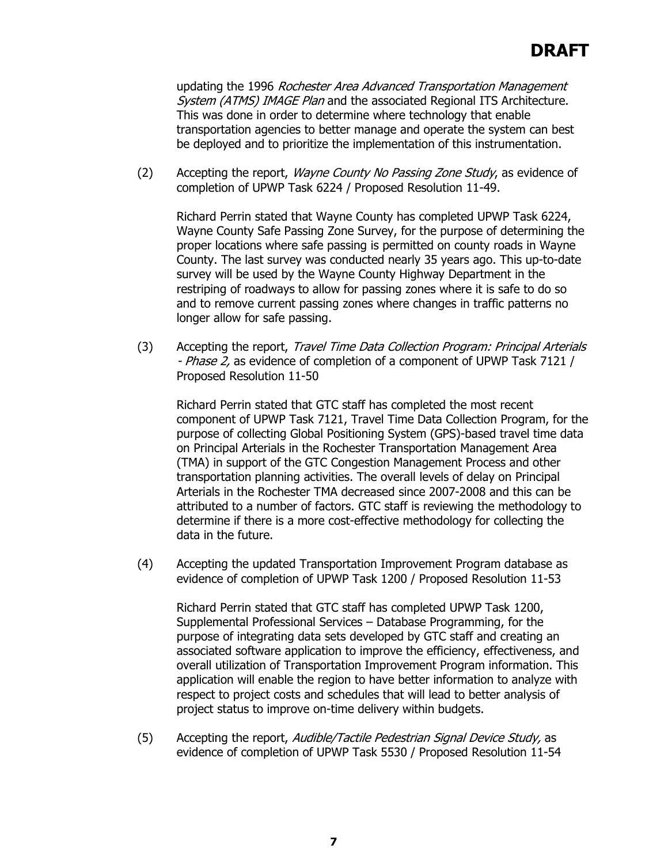updating the 1996 Rochester Area Advanced Transportation Management System (ATMS) IMAGE Plan and the associated Regional ITS Architecture. This was done in order to determine where technology that enable transportation agencies to better manage and operate the system can best be deployed and to prioritize the implementation of this instrumentation.

(2) Accepting the report, *Wayne County No Passing Zone Study*, as evidence of completion of UPWP Task 6224 / Proposed Resolution 11-49.

Richard Perrin stated that Wayne County has completed UPWP Task 6224, Wayne County Safe Passing Zone Survey, for the purpose of determining the proper locations where safe passing is permitted on county roads in Wayne County. The last survey was conducted nearly 35 years ago. This up-to-date survey will be used by the Wayne County Highway Department in the restriping of roadways to allow for passing zones where it is safe to do so and to remove current passing zones where changes in traffic patterns no longer allow for safe passing.

(3) Accepting the report, Travel Time Data Collection Program: Principal Arterials - Phase 2, as evidence of completion of a component of UPWP Task 7121 / Proposed Resolution 11-50

Richard Perrin stated that GTC staff has completed the most recent component of UPWP Task 7121, Travel Time Data Collection Program, for the purpose of collecting Global Positioning System (GPS)-based travel time data on Principal Arterials in the Rochester Transportation Management Area (TMA) in support of the GTC Congestion Management Process and other transportation planning activities. The overall levels of delay on Principal Arterials in the Rochester TMA decreased since 2007-2008 and this can be attributed to a number of factors. GTC staff is reviewing the methodology to determine if there is a more cost-effective methodology for collecting the data in the future.

(4) Accepting the updated Transportation Improvement Program database as evidence of completion of UPWP Task 1200 / Proposed Resolution 11-53

Richard Perrin stated that GTC staff has completed UPWP Task 1200, Supplemental Professional Services – Database Programming, for the purpose of integrating data sets developed by GTC staff and creating an associated software application to improve the efficiency, effectiveness, and overall utilization of Transportation Improvement Program information. This application will enable the region to have better information to analyze with respect to project costs and schedules that will lead to better analysis of project status to improve on-time delivery within budgets.

(5) Accepting the report, Audible/Tactile Pedestrian Signal Device Study, as evidence of completion of UPWP Task 5530 / Proposed Resolution 11-54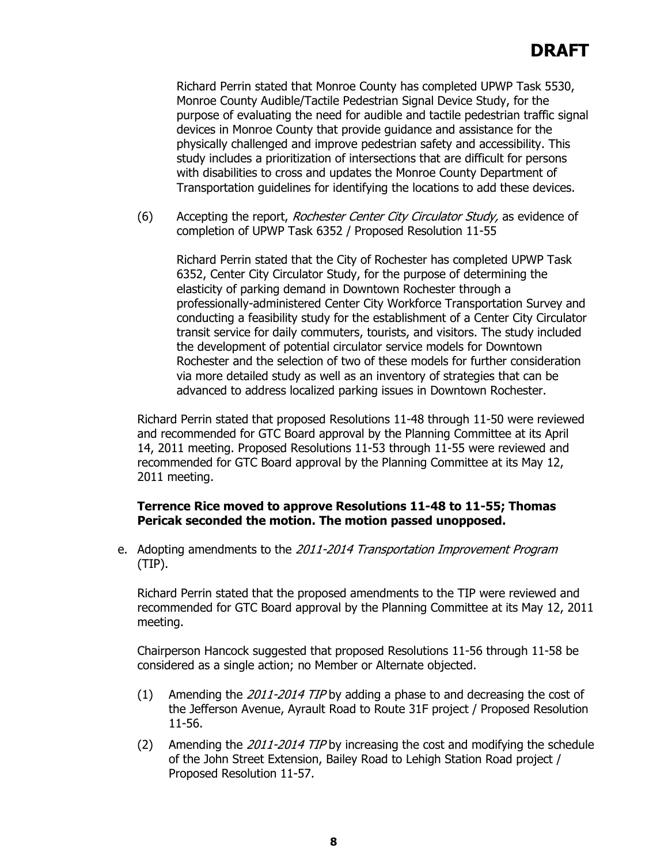Richard Perrin stated that Monroe County has completed UPWP Task 5530, Monroe County Audible/Tactile Pedestrian Signal Device Study, for the purpose of evaluating the need for audible and tactile pedestrian traffic signal devices in Monroe County that provide guidance and assistance for the physically challenged and improve pedestrian safety and accessibility. This study includes a prioritization of intersections that are difficult for persons with disabilities to cross and updates the Monroe County Department of Transportation guidelines for identifying the locations to add these devices.

(6) Accepting the report, *Rochester Center City Circulator Study*, as evidence of completion of UPWP Task 6352 / Proposed Resolution 11-55

Richard Perrin stated that the City of Rochester has completed UPWP Task 6352, Center City Circulator Study, for the purpose of determining the elasticity of parking demand in Downtown Rochester through a professionally-administered Center City Workforce Transportation Survey and conducting a feasibility study for the establishment of a Center City Circulator transit service for daily commuters, tourists, and visitors. The study included the development of potential circulator service models for Downtown Rochester and the selection of two of these models for further consideration via more detailed study as well as an inventory of strategies that can be advanced to address localized parking issues in Downtown Rochester.

Richard Perrin stated that proposed Resolutions 11-48 through 11-50 were reviewed and recommended for GTC Board approval by the Planning Committee at its April 14, 2011 meeting. Proposed Resolutions 11-53 through 11-55 were reviewed and recommended for GTC Board approval by the Planning Committee at its May 12, 2011 meeting.

# **Terrence Rice moved to approve Resolutions 11-48 to 11-55; Thomas Pericak seconded the motion. The motion passed unopposed.**

e. Adopting amendments to the 2011-2014 Transportation Improvement Program (TIP).

Richard Perrin stated that the proposed amendments to the TIP were reviewed and recommended for GTC Board approval by the Planning Committee at its May 12, 2011 meeting.

Chairperson Hancock suggested that proposed Resolutions 11-56 through 11-58 be considered as a single action; no Member or Alternate objected.

- (1) Amending the 2011-2014 TIP by adding a phase to and decreasing the cost of the Jefferson Avenue, Ayrault Road to Route 31F project / Proposed Resolution 11-56.
- (2) Amending the  $2011$ - $2014$  TIP by increasing the cost and modifying the schedule of the John Street Extension, Bailey Road to Lehigh Station Road project / Proposed Resolution 11-57.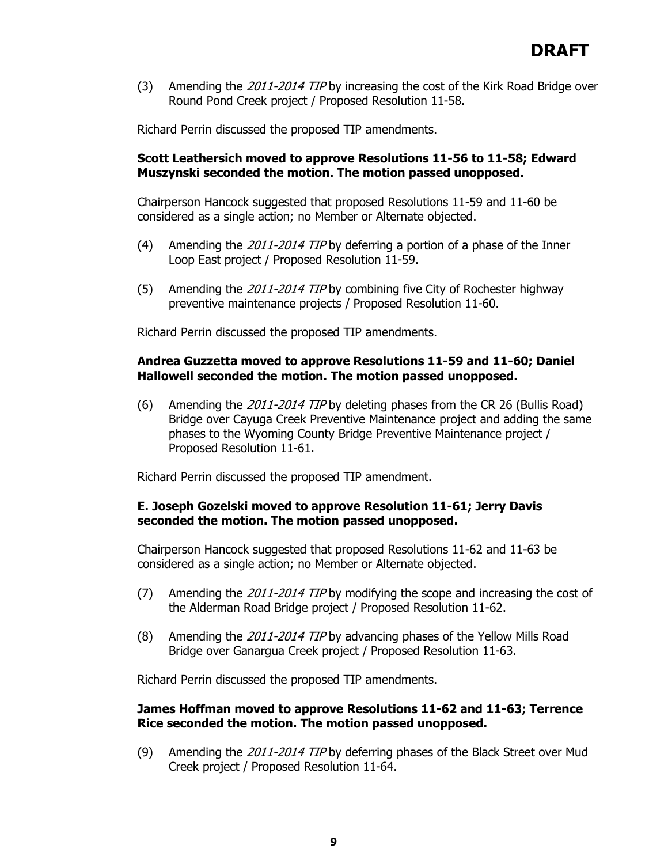(3) Amending the 2011-2014 TIP by increasing the cost of the Kirk Road Bridge over Round Pond Creek project / Proposed Resolution 11-58.

Richard Perrin discussed the proposed TIP amendments.

# **Scott Leathersich moved to approve Resolutions 11-56 to 11-58; Edward Muszynski seconded the motion. The motion passed unopposed.**

Chairperson Hancock suggested that proposed Resolutions 11-59 and 11-60 be considered as a single action; no Member or Alternate objected.

- (4) Amending the 2011-2014 TIP by deferring a portion of a phase of the Inner Loop East project / Proposed Resolution 11-59.
- (5) Amending the 2011-2014 TIP by combining five City of Rochester highway preventive maintenance projects / Proposed Resolution 11-60.

Richard Perrin discussed the proposed TIP amendments.

# **Andrea Guzzetta moved to approve Resolutions 11-59 and 11-60; Daniel Hallowell seconded the motion. The motion passed unopposed.**

(6) Amending the 2011-2014 TIP by deleting phases from the CR 26 (Bullis Road) Bridge over Cayuga Creek Preventive Maintenance project and adding the same phases to the Wyoming County Bridge Preventive Maintenance project / Proposed Resolution 11-61.

Richard Perrin discussed the proposed TIP amendment.

# **E. Joseph Gozelski moved to approve Resolution 11-61; Jerry Davis seconded the motion. The motion passed unopposed.**

Chairperson Hancock suggested that proposed Resolutions 11-62 and 11-63 be considered as a single action; no Member or Alternate objected.

- (7) Amending the 2011-2014 TIP by modifying the scope and increasing the cost of the Alderman Road Bridge project / Proposed Resolution 11-62.
- (8) Amending the 2011-2014 TIP by advancing phases of the Yellow Mills Road Bridge over Ganargua Creek project / Proposed Resolution 11-63.

Richard Perrin discussed the proposed TIP amendments.

# **James Hoffman moved to approve Resolutions 11-62 and 11-63; Terrence Rice seconded the motion. The motion passed unopposed.**

(9) Amending the 2011-2014 TIP by deferring phases of the Black Street over Mud Creek project / Proposed Resolution 11-64.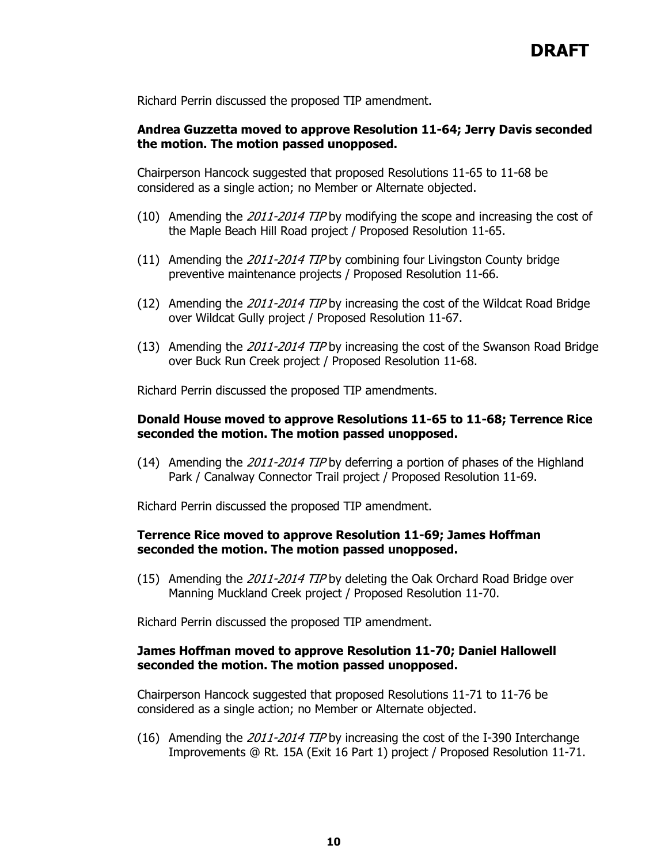Richard Perrin discussed the proposed TIP amendment.

## **Andrea Guzzetta moved to approve Resolution 11-64; Jerry Davis seconded the motion. The motion passed unopposed.**

Chairperson Hancock suggested that proposed Resolutions 11-65 to 11-68 be considered as a single action; no Member or Alternate objected.

- (10) Amending the  $2011-2014$  TIP by modifying the scope and increasing the cost of the Maple Beach Hill Road project / Proposed Resolution 11-65.
- (11) Amending the 2011-2014 TIP by combining four Livingston County bridge preventive maintenance projects / Proposed Resolution 11-66.
- (12) Amending the 2011-2014 TIP by increasing the cost of the Wildcat Road Bridge over Wildcat Gully project / Proposed Resolution 11-67.
- (13) Amending the 2011-2014 TIP by increasing the cost of the Swanson Road Bridge over Buck Run Creek project / Proposed Resolution 11-68.

Richard Perrin discussed the proposed TIP amendments.

#### **Donald House moved to approve Resolutions 11-65 to 11-68; Terrence Rice seconded the motion. The motion passed unopposed.**

(14) Amending the 2011-2014 TIP by deferring a portion of phases of the Highland Park / Canalway Connector Trail project / Proposed Resolution 11-69.

Richard Perrin discussed the proposed TIP amendment.

## **Terrence Rice moved to approve Resolution 11-69; James Hoffman seconded the motion. The motion passed unopposed.**

(15) Amending the 2011-2014 TIP by deleting the Oak Orchard Road Bridge over Manning Muckland Creek project / Proposed Resolution 11-70.

Richard Perrin discussed the proposed TIP amendment.

## **James Hoffman moved to approve Resolution 11-70; Daniel Hallowell seconded the motion. The motion passed unopposed.**

Chairperson Hancock suggested that proposed Resolutions 11-71 to 11-76 be considered as a single action; no Member or Alternate objected.

(16) Amending the 2011-2014 TIP by increasing the cost of the I-390 Interchange Improvements @ Rt. 15A (Exit 16 Part 1) project / Proposed Resolution 11-71.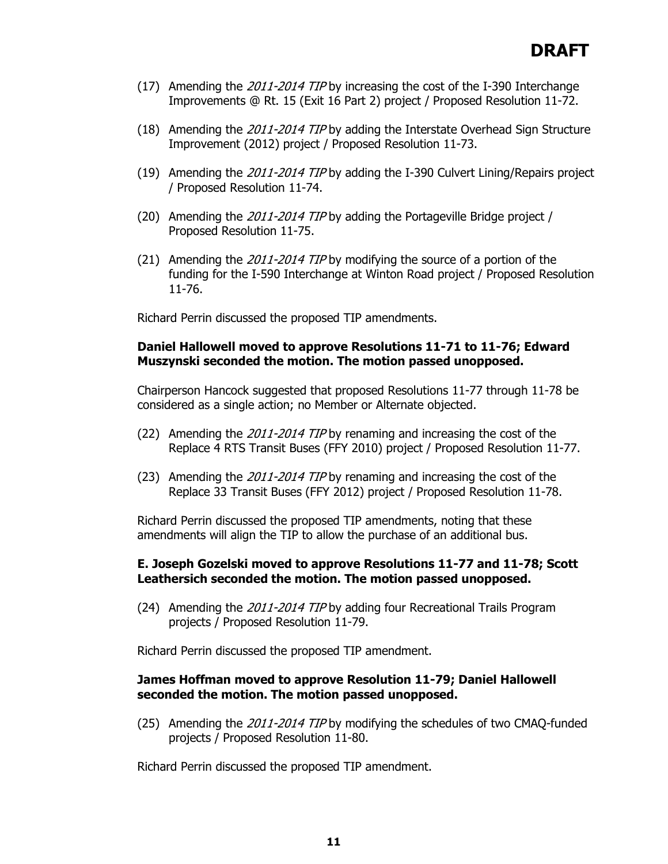- (17) Amending the 2011-2014 TIP by increasing the cost of the I-390 Interchange Improvements @ Rt. 15 (Exit 16 Part 2) project / Proposed Resolution 11-72.
- (18) Amending the 2011-2014 TIP by adding the Interstate Overhead Sign Structure Improvement (2012) project / Proposed Resolution 11-73.
- (19) Amending the 2011-2014 TIP by adding the I-390 Culvert Lining/Repairs project / Proposed Resolution 11-74.
- (20) Amending the 2011-2014 TIP by adding the Portageville Bridge project / Proposed Resolution 11-75.
- (21) Amending the 2011-2014 TIP by modifying the source of a portion of the funding for the I-590 Interchange at Winton Road project / Proposed Resolution 11-76.

Richard Perrin discussed the proposed TIP amendments.

## **Daniel Hallowell moved to approve Resolutions 11-71 to 11-76; Edward Muszynski seconded the motion. The motion passed unopposed.**

Chairperson Hancock suggested that proposed Resolutions 11-77 through 11-78 be considered as a single action; no Member or Alternate objected.

- (22) Amending the 2011-2014 TIP by renaming and increasing the cost of the Replace 4 RTS Transit Buses (FFY 2010) project / Proposed Resolution 11-77.
- (23) Amending the 2011-2014 TIP by renaming and increasing the cost of the Replace 33 Transit Buses (FFY 2012) project / Proposed Resolution 11-78.

Richard Perrin discussed the proposed TIP amendments, noting that these amendments will align the TIP to allow the purchase of an additional bus.

## **E. Joseph Gozelski moved to approve Resolutions 11-77 and 11-78; Scott Leathersich seconded the motion. The motion passed unopposed.**

(24) Amending the 2011-2014 TIP by adding four Recreational Trails Program projects / Proposed Resolution 11-79.

Richard Perrin discussed the proposed TIP amendment.

## **James Hoffman moved to approve Resolution 11-79; Daniel Hallowell seconded the motion. The motion passed unopposed.**

(25) Amending the 2011-2014 TIP by modifying the schedules of two CMAO-funded projects / Proposed Resolution 11-80.

Richard Perrin discussed the proposed TIP amendment.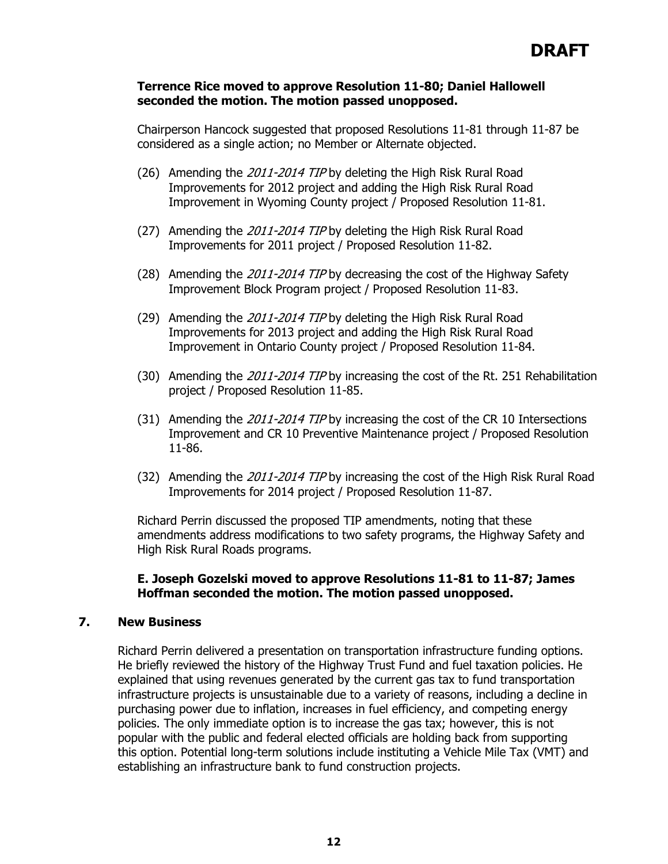#### **Terrence Rice moved to approve Resolution 11-80; Daniel Hallowell seconded the motion. The motion passed unopposed.**

Chairperson Hancock suggested that proposed Resolutions 11-81 through 11-87 be considered as a single action; no Member or Alternate objected.

- (26) Amending the 2011-2014 TIP by deleting the High Risk Rural Road Improvements for 2012 project and adding the High Risk Rural Road Improvement in Wyoming County project / Proposed Resolution 11-81.
- (27) Amending the 2011-2014 TIP by deleting the High Risk Rural Road Improvements for 2011 project / Proposed Resolution 11-82.
- (28) Amending the 2011-2014 TIP by decreasing the cost of the Highway Safety Improvement Block Program project / Proposed Resolution 11-83.
- (29) Amending the 2011-2014 TIP by deleting the High Risk Rural Road Improvements for 2013 project and adding the High Risk Rural Road Improvement in Ontario County project / Proposed Resolution 11-84.
- (30) Amending the 2011-2014 TIP by increasing the cost of the Rt. 251 Rehabilitation project / Proposed Resolution 11-85.
- (31) Amending the 2011-2014 TIP by increasing the cost of the CR 10 Intersections Improvement and CR 10 Preventive Maintenance project / Proposed Resolution 11-86.
- (32) Amending the 2011-2014 TIP by increasing the cost of the High Risk Rural Road Improvements for 2014 project / Proposed Resolution 11-87.

Richard Perrin discussed the proposed TIP amendments, noting that these amendments address modifications to two safety programs, the Highway Safety and High Risk Rural Roads programs.

## **E. Joseph Gozelski moved to approve Resolutions 11-81 to 11-87; James Hoffman seconded the motion. The motion passed unopposed.**

#### **7. New Business**

Richard Perrin delivered a presentation on transportation infrastructure funding options. He briefly reviewed the history of the Highway Trust Fund and fuel taxation policies. He explained that using revenues generated by the current gas tax to fund transportation infrastructure projects is unsustainable due to a variety of reasons, including a decline in purchasing power due to inflation, increases in fuel efficiency, and competing energy policies. The only immediate option is to increase the gas tax; however, this is not popular with the public and federal elected officials are holding back from supporting this option. Potential long-term solutions include instituting a Vehicle Mile Tax (VMT) and establishing an infrastructure bank to fund construction projects.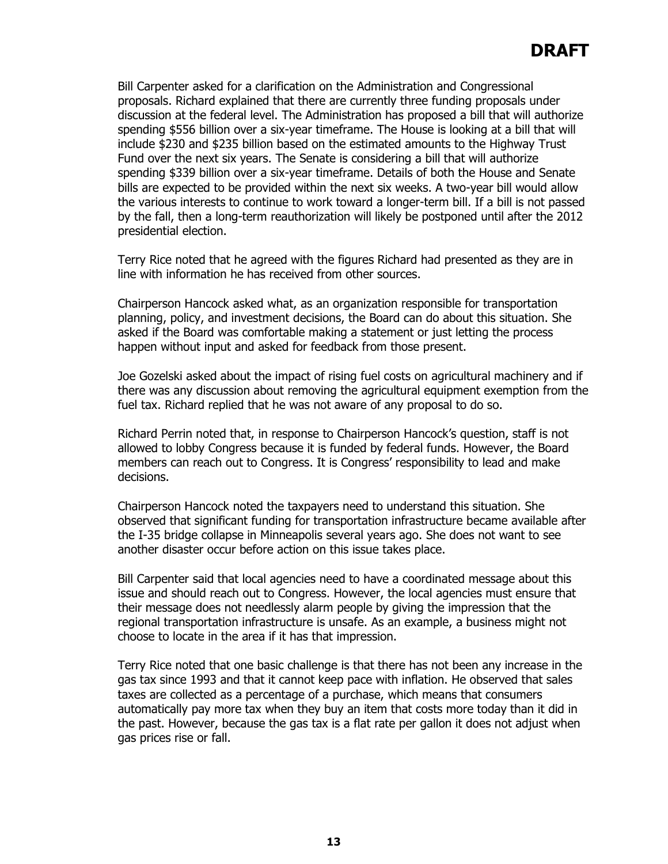Bill Carpenter asked for a clarification on the Administration and Congressional proposals. Richard explained that there are currently three funding proposals under discussion at the federal level. The Administration has proposed a bill that will authorize spending \$556 billion over a six-year timeframe. The House is looking at a bill that will include \$230 and \$235 billion based on the estimated amounts to the Highway Trust Fund over the next six years. The Senate is considering a bill that will authorize spending \$339 billion over a six-year timeframe. Details of both the House and Senate bills are expected to be provided within the next six weeks. A two-year bill would allow the various interests to continue to work toward a longer-term bill. If a bill is not passed by the fall, then a long-term reauthorization will likely be postponed until after the 2012 presidential election.

Terry Rice noted that he agreed with the figures Richard had presented as they are in line with information he has received from other sources.

Chairperson Hancock asked what, as an organization responsible for transportation planning, policy, and investment decisions, the Board can do about this situation. She asked if the Board was comfortable making a statement or just letting the process happen without input and asked for feedback from those present.

Joe Gozelski asked about the impact of rising fuel costs on agricultural machinery and if there was any discussion about removing the agricultural equipment exemption from the fuel tax. Richard replied that he was not aware of any proposal to do so.

Richard Perrin noted that, in response to Chairperson Hancock's question, staff is not allowed to lobby Congress because it is funded by federal funds. However, the Board members can reach out to Congress. It is Congress' responsibility to lead and make decisions.

Chairperson Hancock noted the taxpayers need to understand this situation. She observed that significant funding for transportation infrastructure became available after the I-35 bridge collapse in Minneapolis several years ago. She does not want to see another disaster occur before action on this issue takes place.

Bill Carpenter said that local agencies need to have a coordinated message about this issue and should reach out to Congress. However, the local agencies must ensure that their message does not needlessly alarm people by giving the impression that the regional transportation infrastructure is unsafe. As an example, a business might not choose to locate in the area if it has that impression.

Terry Rice noted that one basic challenge is that there has not been any increase in the gas tax since 1993 and that it cannot keep pace with inflation. He observed that sales taxes are collected as a percentage of a purchase, which means that consumers automatically pay more tax when they buy an item that costs more today than it did in the past. However, because the gas tax is a flat rate per gallon it does not adjust when gas prices rise or fall.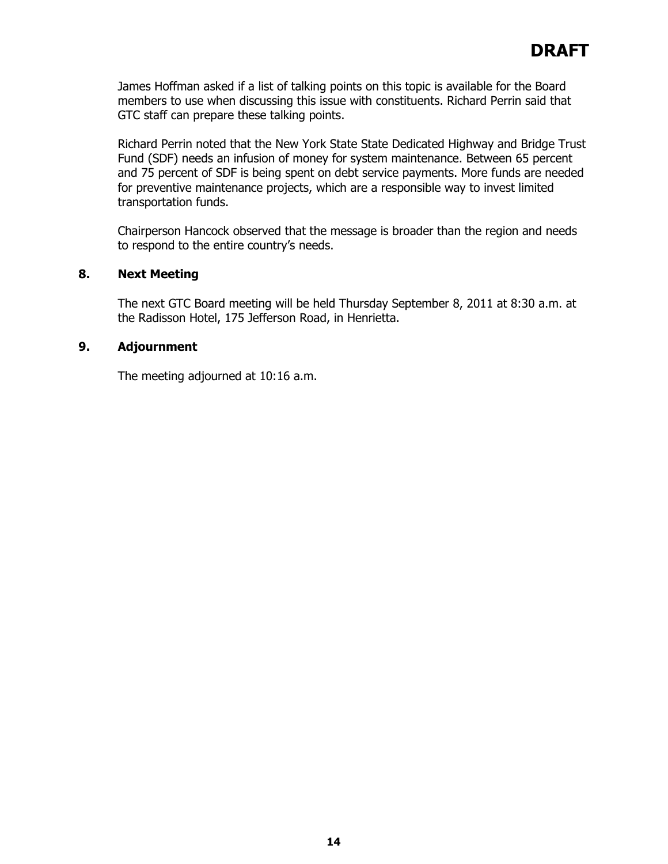James Hoffman asked if a list of talking points on this topic is available for the Board members to use when discussing this issue with constituents. Richard Perrin said that GTC staff can prepare these talking points.

Richard Perrin noted that the New York State State Dedicated Highway and Bridge Trust Fund (SDF) needs an infusion of money for system maintenance. Between 65 percent and 75 percent of SDF is being spent on debt service payments. More funds are needed for preventive maintenance projects, which are a responsible way to invest limited transportation funds.

Chairperson Hancock observed that the message is broader than the region and needs to respond to the entire country's needs.

## **8. Next Meeting**

The next GTC Board meeting will be held Thursday September 8, 2011 at 8:30 a.m. at the Radisson Hotel, 175 Jefferson Road, in Henrietta.

## **9. Adjournment**

The meeting adjourned at 10:16 a.m.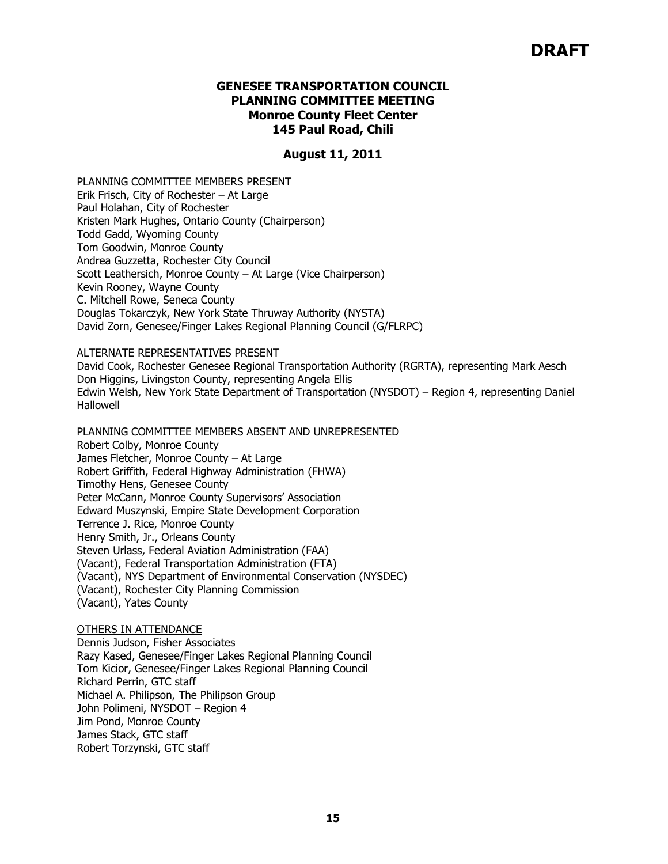# **DRAFT**

## **GENESEE TRANSPORTATION COUNCIL PLANNING COMMITTEE MEETING Monroe County Fleet Center 145 Paul Road, Chili**

#### **August 11, 2011**

#### PLANNING COMMITTEE MEMBERS PRESENT

Erik Frisch, City of Rochester – At Large Paul Holahan, City of Rochester Kristen Mark Hughes, Ontario County (Chairperson) Todd Gadd, Wyoming County Tom Goodwin, Monroe County Andrea Guzzetta, Rochester City Council Scott Leathersich, Monroe County – At Large (Vice Chairperson) Kevin Rooney, Wayne County C. Mitchell Rowe, Seneca County Douglas Tokarczyk, New York State Thruway Authority (NYSTA) David Zorn, Genesee/Finger Lakes Regional Planning Council (G/FLRPC)

#### ALTERNATE REPRESENTATIVES PRESENT

David Cook, Rochester Genesee Regional Transportation Authority (RGRTA), representing Mark Aesch Don Higgins, Livingston County, representing Angela Ellis Edwin Welsh, New York State Department of Transportation (NYSDOT) – Region 4, representing Daniel Hallowell

#### PLANNING COMMITTEE MEMBERS ABSENT AND UNREPRESENTED

Robert Colby, Monroe County James Fletcher, Monroe County – At Large Robert Griffith, Federal Highway Administration (FHWA) Timothy Hens, Genesee County Peter McCann, Monroe County Supervisors' Association Edward Muszynski, Empire State Development Corporation Terrence J. Rice, Monroe County Henry Smith, Jr., Orleans County Steven Urlass, Federal Aviation Administration (FAA) (Vacant), Federal Transportation Administration (FTA) (Vacant), NYS Department of Environmental Conservation (NYSDEC) (Vacant), Rochester City Planning Commission (Vacant), Yates County

#### OTHERS IN ATTENDANCE

Dennis Judson, Fisher Associates Razy Kased, Genesee/Finger Lakes Regional Planning Council Tom Kicior, Genesee/Finger Lakes Regional Planning Council Richard Perrin, GTC staff Michael A. Philipson, The Philipson Group John Polimeni, NYSDOT – Region 4 Jim Pond, Monroe County James Stack, GTC staff Robert Torzynski, GTC staff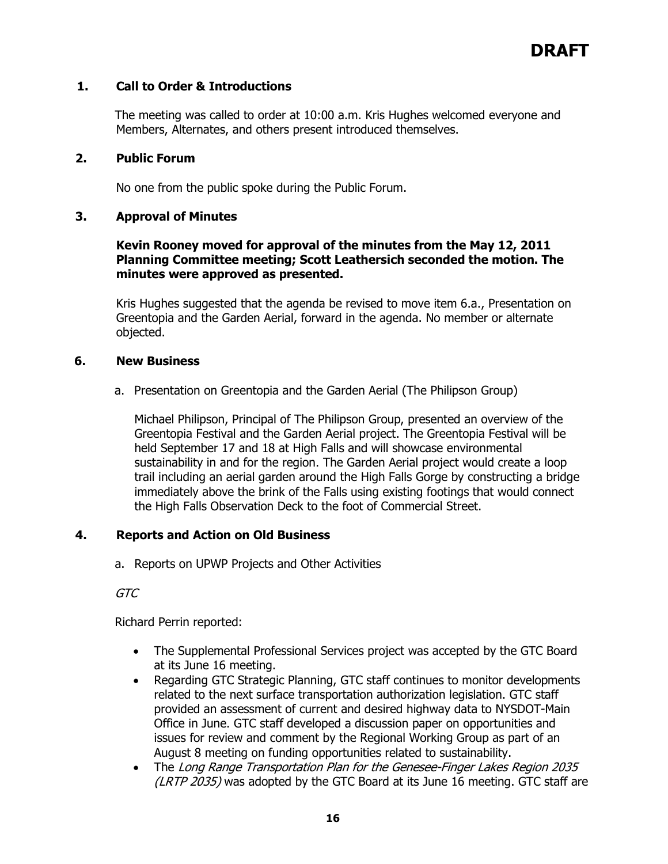# **1. Call to Order & Introductions**

The meeting was called to order at 10:00 a.m. Kris Hughes welcomed everyone and Members, Alternates, and others present introduced themselves.

## **2. Public Forum**

No one from the public spoke during the Public Forum.

# **3. Approval of Minutes**

## **Kevin Rooney moved for approval of the minutes from the May 12, 2011 Planning Committee meeting; Scott Leathersich seconded the motion. The minutes were approved as presented.**

Kris Hughes suggested that the agenda be revised to move item 6.a., Presentation on Greentopia and the Garden Aerial, forward in the agenda. No member or alternate objected.

## **6. New Business**

a. Presentation on Greentopia and the Garden Aerial (The Philipson Group)

Michael Philipson, Principal of The Philipson Group, presented an overview of the Greentopia Festival and the Garden Aerial project. The Greentopia Festival will be held September 17 and 18 at High Falls and will showcase environmental sustainability in and for the region. The Garden Aerial project would create a loop trail including an aerial garden around the High Falls Gorge by constructing a bridge immediately above the brink of the Falls using existing footings that would connect the High Falls Observation Deck to the foot of Commercial Street.

# **4. Reports and Action on Old Business**

a. Reports on UPWP Projects and Other Activities

GTC

Richard Perrin reported:

- The Supplemental Professional Services project was accepted by the GTC Board at its June 16 meeting.
- Regarding GTC Strategic Planning, GTC staff continues to monitor developments related to the next surface transportation authorization legislation. GTC staff provided an assessment of current and desired highway data to NYSDOT-Main Office in June. GTC staff developed a discussion paper on opportunities and issues for review and comment by the Regional Working Group as part of an August 8 meeting on funding opportunities related to sustainability.
- The Long Range Transportation Plan for the Genesee-Finger Lakes Region 2035 (LRTP 2035) was adopted by the GTC Board at its June 16 meeting. GTC staff are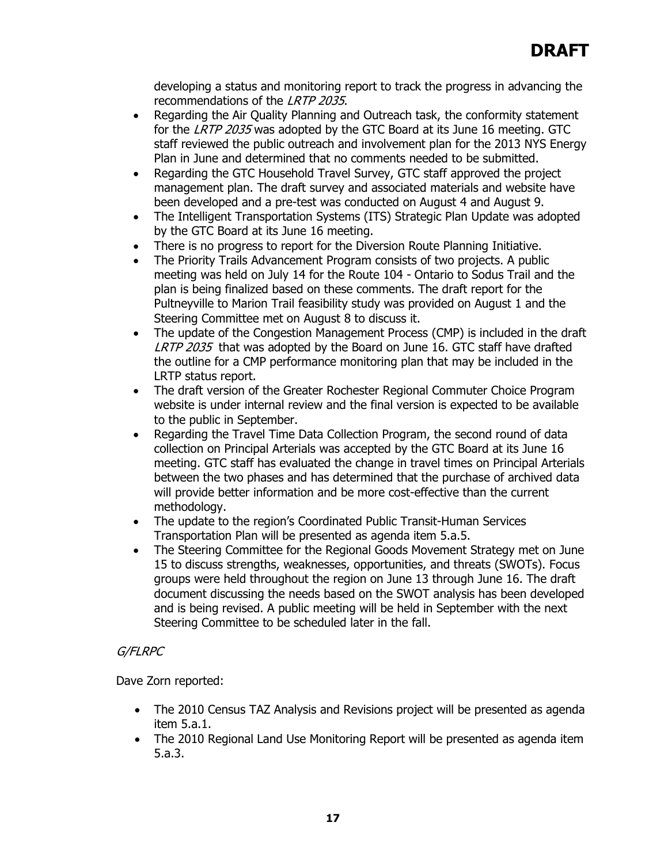developing a status and monitoring report to track the progress in advancing the recommendations of the LRTP 2035.

- Regarding the Air Quality Planning and Outreach task, the conformity statement for the LRTP 2035 was adopted by the GTC Board at its June 16 meeting. GTC staff reviewed the public outreach and involvement plan for the 2013 NYS Energy Plan in June and determined that no comments needed to be submitted.
- Regarding the GTC Household Travel Survey, GTC staff approved the project management plan. The draft survey and associated materials and website have been developed and a pre-test was conducted on August 4 and August 9.
- The Intelligent Transportation Systems (ITS) Strategic Plan Update was adopted by the GTC Board at its June 16 meeting.
- There is no progress to report for the Diversion Route Planning Initiative.
- The Priority Trails Advancement Program consists of two projects. A public meeting was held on July 14 for the Route 104 - Ontario to Sodus Trail and the plan is being finalized based on these comments. The draft report for the Pultneyville to Marion Trail feasibility study was provided on August 1 and the Steering Committee met on August 8 to discuss it.
- The update of the Congestion Management Process (CMP) is included in the draft LRTP 2035 that was adopted by the Board on June 16. GTC staff have drafted the outline for a CMP performance monitoring plan that may be included in the LRTP status report.
- The draft version of the Greater Rochester Regional Commuter Choice Program website is under internal review and the final version is expected to be available to the public in September.
- Regarding the Travel Time Data Collection Program, the second round of data collection on Principal Arterials was accepted by the GTC Board at its June 16 meeting. GTC staff has evaluated the change in travel times on Principal Arterials between the two phases and has determined that the purchase of archived data will provide better information and be more cost-effective than the current methodology.
- The update to the region's Coordinated Public Transit-Human Services Transportation Plan will be presented as agenda item 5.a.5.
- The Steering Committee for the Regional Goods Movement Strategy met on June 15 to discuss strengths, weaknesses, opportunities, and threats (SWOTs). Focus groups were held throughout the region on June 13 through June 16. The draft document discussing the needs based on the SWOT analysis has been developed and is being revised. A public meeting will be held in September with the next Steering Committee to be scheduled later in the fall.

# G/FLRPC

Dave Zorn reported:

- The 2010 Census TAZ Analysis and Revisions project will be presented as agenda item 5.a.1.
- The 2010 Regional Land Use Monitoring Report will be presented as agenda item 5.a.3.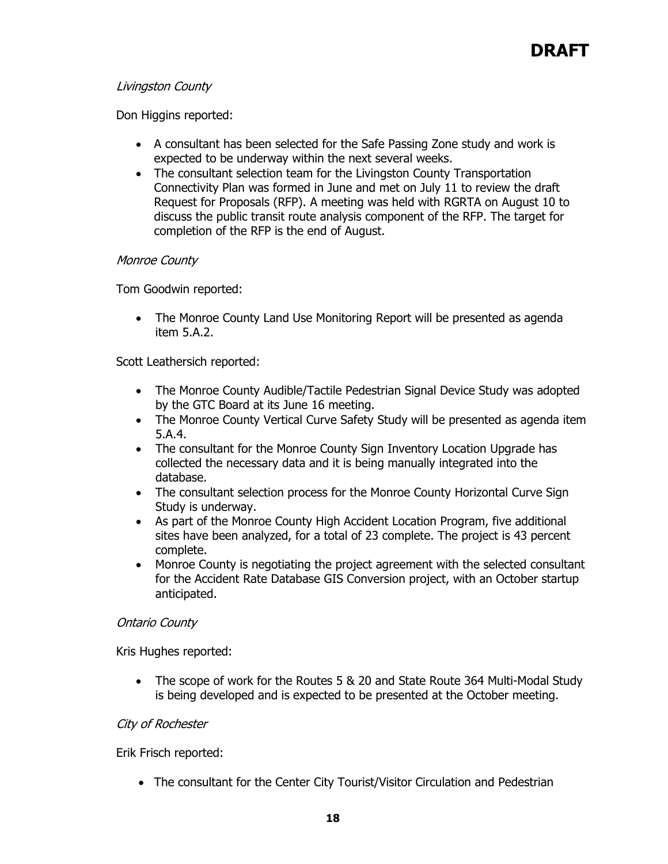# Livingston County

Don Higgins reported:

- A consultant has been selected for the Safe Passing Zone study and work is expected to be underway within the next several weeks.
- The consultant selection team for the Livingston County Transportation Connectivity Plan was formed in June and met on July 11 to review the draft Request for Proposals (RFP). A meeting was held with RGRTA on August 10 to discuss the public transit route analysis component of the RFP. The target for completion of the RFP is the end of August.

# Monroe County

Tom Goodwin reported:

• The Monroe County Land Use Monitoring Report will be presented as agenda item 5.A.2.

Scott Leathersich reported:

- The Monroe County Audible/Tactile Pedestrian Signal Device Study was adopted by the GTC Board at its June 16 meeting.
- The Monroe County Vertical Curve Safety Study will be presented as agenda item 5.A.4.
- The consultant for the Monroe County Sign Inventory Location Upgrade has collected the necessary data and it is being manually integrated into the database.
- The consultant selection process for the Monroe County Horizontal Curve Sign Study is underway.
- As part of the Monroe County High Accident Location Program, five additional sites have been analyzed, for a total of 23 complete. The project is 43 percent complete.
- Monroe County is negotiating the project agreement with the selected consultant for the Accident Rate Database GIS Conversion project, with an October startup anticipated.

## Ontario County

Kris Hughes reported:

• The scope of work for the Routes 5 & 20 and State Route 364 Multi-Modal Study is being developed and is expected to be presented at the October meeting.

# City of Rochester

Erik Frisch reported:

• The consultant for the Center City Tourist/Visitor Circulation and Pedestrian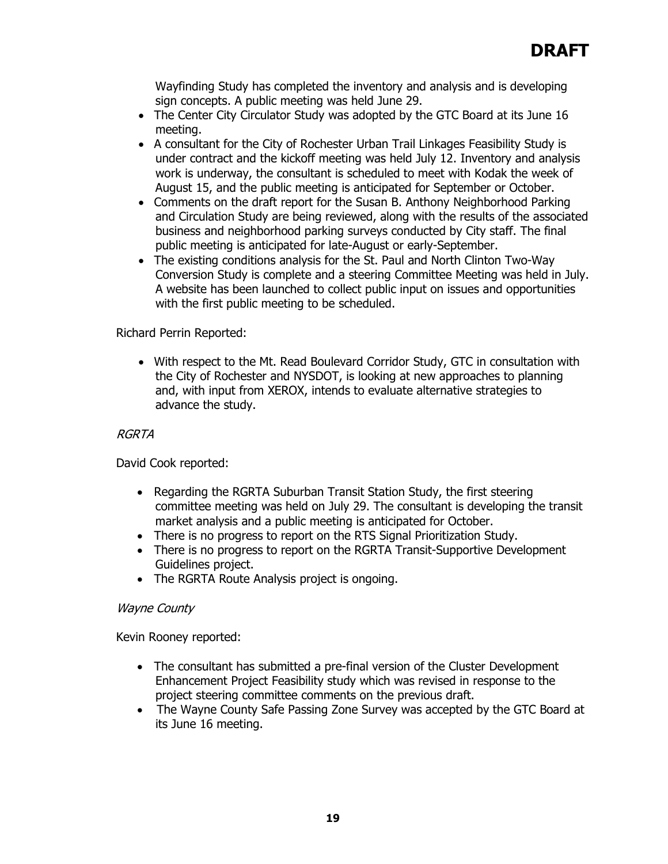Wayfinding Study has completed the inventory and analysis and is developing sign concepts. A public meeting was held June 29.

- The Center City Circulator Study was adopted by the GTC Board at its June 16 meeting.
- A consultant for the City of Rochester Urban Trail Linkages Feasibility Study is under contract and the kickoff meeting was held July 12. Inventory and analysis work is underway, the consultant is scheduled to meet with Kodak the week of August 15, and the public meeting is anticipated for September or October.
- Comments on the draft report for the Susan B. Anthony Neighborhood Parking and Circulation Study are being reviewed, along with the results of the associated business and neighborhood parking surveys conducted by City staff. The final public meeting is anticipated for late-August or early-September.
- The existing conditions analysis for the St. Paul and North Clinton Two-Way Conversion Study is complete and a steering Committee Meeting was held in July. A website has been launched to collect public input on issues and opportunities with the first public meeting to be scheduled.

# Richard Perrin Reported:

• With respect to the Mt. Read Boulevard Corridor Study, GTC in consultation with the City of Rochester and NYSDOT, is looking at new approaches to planning and, with input from XEROX, intends to evaluate alternative strategies to advance the study.

## RGRTA

David Cook reported:

- Regarding the RGRTA Suburban Transit Station Study, the first steering committee meeting was held on July 29. The consultant is developing the transit market analysis and a public meeting is anticipated for October.
- There is no progress to report on the RTS Signal Prioritization Study.
- There is no progress to report on the RGRTA Transit-Supportive Development Guidelines project.
- The RGRTA Route Analysis project is ongoing.

## Wayne County

Kevin Rooney reported:

- The consultant has submitted a pre-final version of the Cluster Development Enhancement Project Feasibility study which was revised in response to the project steering committee comments on the previous draft.
- The Wayne County Safe Passing Zone Survey was accepted by the GTC Board at its June 16 meeting.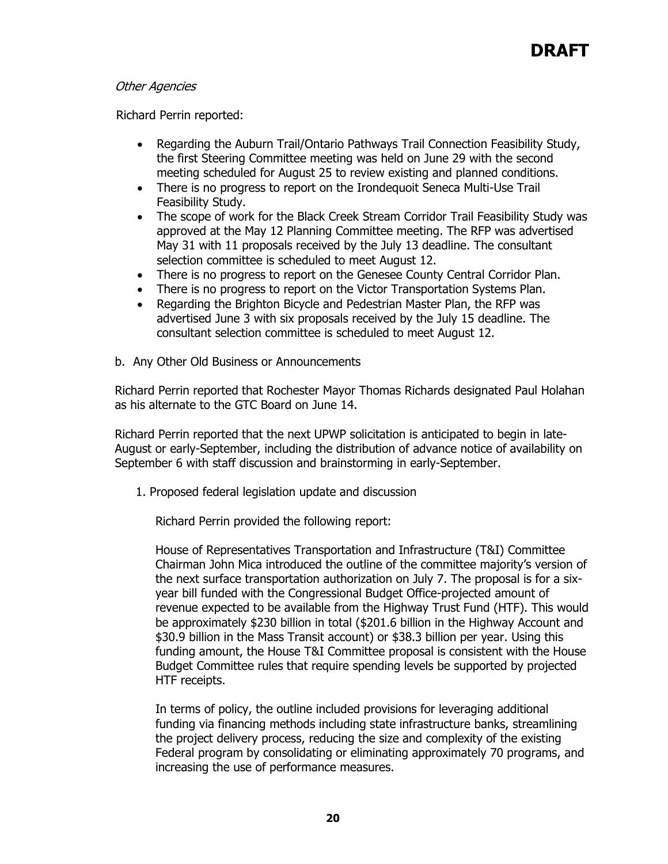## Other Agencies

Richard Perrin reported:

- Regarding the Auburn Trail/Ontario Pathways Trail Connection Feasibility Study, the first Steering Committee meeting was held on June 29 with the second meeting scheduled for August 25 to review existing and planned conditions.
- There is no progress to report on the Irondequoit Seneca Multi-Use Trail Feasibility Study.
- The scope of work for the Black Creek Stream Corridor Trail Feasibility Study was approved at the May 12 Planning Committee meeting. The RFP was advertised May 31 with 11 proposals received by the July 13 deadline. The consultant selection committee is scheduled to meet August 12.
- There is no progress to report on the Genesee County Central Corridor Plan.
- There is no progress to report on the Victor Transportation Systems Plan.
- Regarding the Brighton Bicycle and Pedestrian Master Plan, the RFP was advertised June 3 with six proposals received by the July 15 deadline. The consultant selection committee is scheduled to meet August 12.
- b. Any Other Old Business or Announcements

Richard Perrin reported that Rochester Mayor Thomas Richards designated Paul Holahan as his alternate to the GTC Board on June 14.

Richard Perrin reported that the next UPWP solicitation is anticipated to begin in late-August or early-September, including the distribution of advance notice of availability on September 6 with staff discussion and brainstorming in early-September.

1. Proposed federal legislation update and discussion

Richard Perrin provided the following report:

House of Representatives Transportation and Infrastructure (T&I) Committee Chairman John Mica introduced the outline of the committee majority's version of the next surface transportation authorization on July 7. The proposal is for a sixyear bill funded with the Congressional Budget Office-projected amount of revenue expected to be available from the Highway Trust Fund (HTF). This would be approximately \$230 billion in total (\$201.6 billion in the Highway Account and \$30.9 billion in the Mass Transit account) or \$38.3 billion per year. Using this funding amount, the House T&I Committee proposal is consistent with the House Budget Committee rules that require spending levels be supported by projected HTF receipts.

In terms of policy, the outline included provisions for leveraging additional funding via financing methods including state infrastructure banks, streamlining the project delivery process, reducing the size and complexity of the existing Federal program by consolidating or eliminating approximately 70 programs, and increasing the use of performance measures.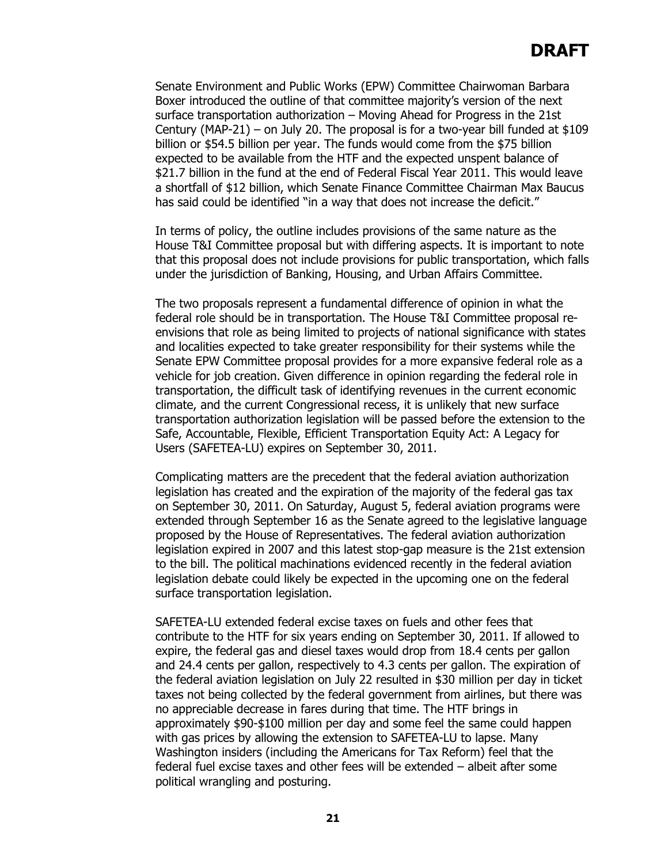Senate Environment and Public Works (EPW) Committee Chairwoman Barbara Boxer introduced the outline of that committee majority's version of the next surface transportation authorization – Moving Ahead for Progress in the 21st Century (MAP-21) – on July 20. The proposal is for a two-year bill funded at \$109 billion or \$54.5 billion per year. The funds would come from the \$75 billion expected to be available from the HTF and the expected unspent balance of \$21.7 billion in the fund at the end of Federal Fiscal Year 2011. This would leave a shortfall of \$12 billion, which Senate Finance Committee Chairman Max Baucus has said could be identified "in a way that does not increase the deficit."

In terms of policy, the outline includes provisions of the same nature as the House T&I Committee proposal but with differing aspects. It is important to note that this proposal does not include provisions for public transportation, which falls under the jurisdiction of Banking, Housing, and Urban Affairs Committee.

The two proposals represent a fundamental difference of opinion in what the federal role should be in transportation. The House T&I Committee proposal reenvisions that role as being limited to projects of national significance with states and localities expected to take greater responsibility for their systems while the Senate EPW Committee proposal provides for a more expansive federal role as a vehicle for job creation. Given difference in opinion regarding the federal role in transportation, the difficult task of identifying revenues in the current economic climate, and the current Congressional recess, it is unlikely that new surface transportation authorization legislation will be passed before the extension to the Safe, Accountable, Flexible, Efficient Transportation Equity Act: A Legacy for Users (SAFETEA-LU) expires on September 30, 2011.

Complicating matters are the precedent that the federal aviation authorization legislation has created and the expiration of the majority of the federal gas tax on September 30, 2011. On Saturday, August 5, federal aviation programs were extended through September 16 as the Senate agreed to the legislative language proposed by the House of Representatives. The federal aviation authorization legislation expired in 2007 and this latest stop-gap measure is the 21st extension to the bill. The political machinations evidenced recently in the federal aviation legislation debate could likely be expected in the upcoming one on the federal surface transportation legislation.

SAFETEA-LU extended federal excise taxes on fuels and other fees that contribute to the HTF for six years ending on September 30, 2011. If allowed to expire, the federal gas and diesel taxes would drop from 18.4 cents per gallon and 24.4 cents per gallon, respectively to 4.3 cents per gallon. The expiration of the federal aviation legislation on July 22 resulted in \$30 million per day in ticket taxes not being collected by the federal government from airlines, but there was no appreciable decrease in fares during that time. The HTF brings in approximately \$90-\$100 million per day and some feel the same could happen with gas prices by allowing the extension to SAFETEA-LU to lapse. Many Washington insiders (including the Americans for Tax Reform) feel that the federal fuel excise taxes and other fees will be extended – albeit after some political wrangling and posturing.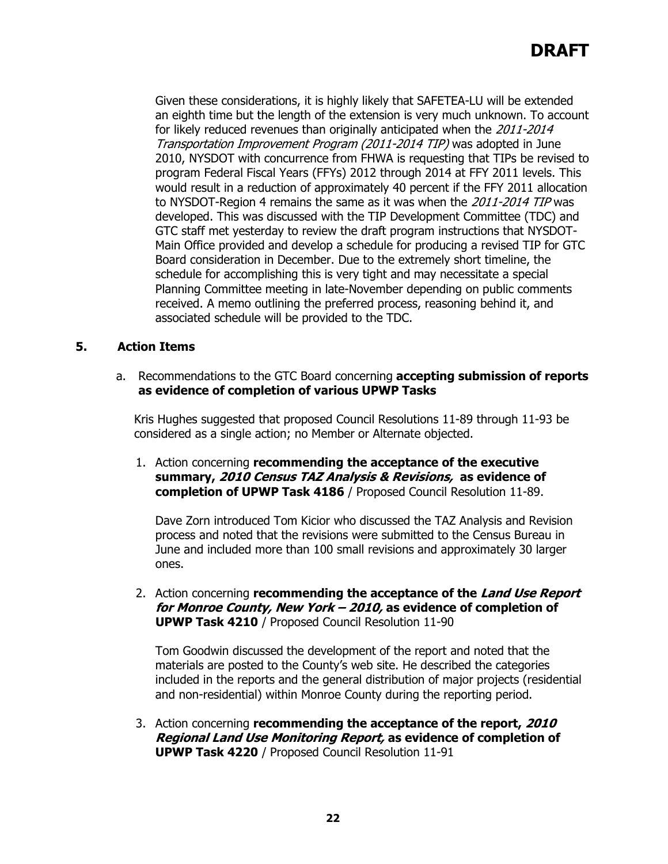Given these considerations, it is highly likely that SAFETEA-LU will be extended an eighth time but the length of the extension is very much unknown. To account for likely reduced revenues than originally anticipated when the 2011-2014 Transportation Improvement Program (2011-2014 TIP) was adopted in June 2010, NYSDOT with concurrence from FHWA is requesting that TIPs be revised to program Federal Fiscal Years (FFYs) 2012 through 2014 at FFY 2011 levels. This would result in a reduction of approximately 40 percent if the FFY 2011 allocation to NYSDOT-Region 4 remains the same as it was when the 2011-2014 TIP was developed. This was discussed with the TIP Development Committee (TDC) and GTC staff met yesterday to review the draft program instructions that NYSDOT-Main Office provided and develop a schedule for producing a revised TIP for GTC Board consideration in December. Due to the extremely short timeline, the schedule for accomplishing this is very tight and may necessitate a special Planning Committee meeting in late-November depending on public comments received. A memo outlining the preferred process, reasoning behind it, and associated schedule will be provided to the TDC.

# **5. Action Items**

a. Recommendations to the GTC Board concerning **accepting submission of reports as evidence of completion of various UPWP Tasks**

Kris Hughes suggested that proposed Council Resolutions 11-89 through 11-93 be considered as a single action; no Member or Alternate objected.

1. Action concerning **recommending the acceptance of the executive summary, 2010 Census TAZ Analysis & Revisions, as evidence of completion of UPWP Task 4186** / Proposed Council Resolution 11-89.

Dave Zorn introduced Tom Kicior who discussed the TAZ Analysis and Revision process and noted that the revisions were submitted to the Census Bureau in June and included more than 100 small revisions and approximately 30 larger ones.

2. Action concerning **recommending the acceptance of the Land Use Report for Monroe County, New York – 2010, as evidence of completion of UPWP Task 4210** / Proposed Council Resolution 11-90

Tom Goodwin discussed the development of the report and noted that the materials are posted to the County's web site. He described the categories included in the reports and the general distribution of major projects (residential and non-residential) within Monroe County during the reporting period.

3. Action concerning **recommending the acceptance of the report, 2010 Regional Land Use Monitoring Report, as evidence of completion of UPWP Task 4220** / Proposed Council Resolution 11-91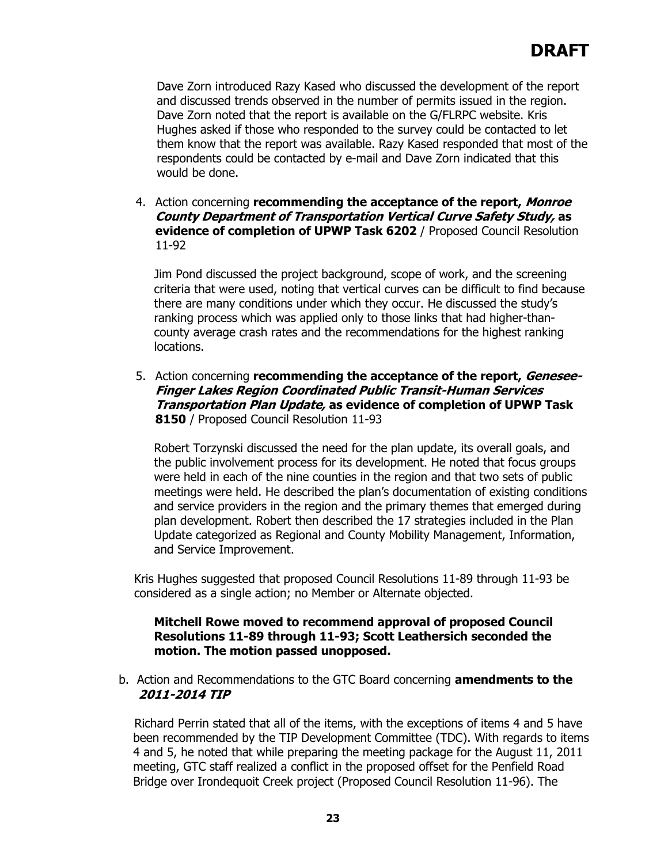Dave Zorn introduced Razy Kased who discussed the development of the report and discussed trends observed in the number of permits issued in the region. Dave Zorn noted that the report is available on the G/FLRPC website. Kris Hughes asked if those who responded to the survey could be contacted to let them know that the report was available. Razy Kased responded that most of the respondents could be contacted by e-mail and Dave Zorn indicated that this would be done.

4. Action concerning **recommending the acceptance of the report, Monroe County Department of Transportation Vertical Curve Safety Study, as evidence of completion of UPWP Task 6202** / Proposed Council Resolution 11-92

Jim Pond discussed the project background, scope of work, and the screening criteria that were used, noting that vertical curves can be difficult to find because there are many conditions under which they occur. He discussed the study's ranking process which was applied only to those links that had higher-thancounty average crash rates and the recommendations for the highest ranking locations.

5. Action concerning **recommending the acceptance of the report, Genesee-Finger Lakes Region Coordinated Public Transit-Human Services Transportation Plan Update, as evidence of completion of UPWP Task 8150** / Proposed Council Resolution 11-93

Robert Torzynski discussed the need for the plan update, its overall goals, and the public involvement process for its development. He noted that focus groups were held in each of the nine counties in the region and that two sets of public meetings were held. He described the plan's documentation of existing conditions and service providers in the region and the primary themes that emerged during plan development. Robert then described the 17 strategies included in the Plan Update categorized as Regional and County Mobility Management, Information, and Service Improvement.

Kris Hughes suggested that proposed Council Resolutions 11-89 through 11-93 be considered as a single action; no Member or Alternate objected.

## **Mitchell Rowe moved to recommend approval of proposed Council Resolutions 11-89 through 11-93; Scott Leathersich seconded the motion. The motion passed unopposed.**

## b. Action and Recommendations to the GTC Board concerning **amendments to the 2011-2014 TIP**

Richard Perrin stated that all of the items, with the exceptions of items 4 and 5 have been recommended by the TIP Development Committee (TDC). With regards to items 4 and 5, he noted that while preparing the meeting package for the August 11, 2011 meeting, GTC staff realized a conflict in the proposed offset for the Penfield Road Bridge over Irondequoit Creek project (Proposed Council Resolution 11-96). The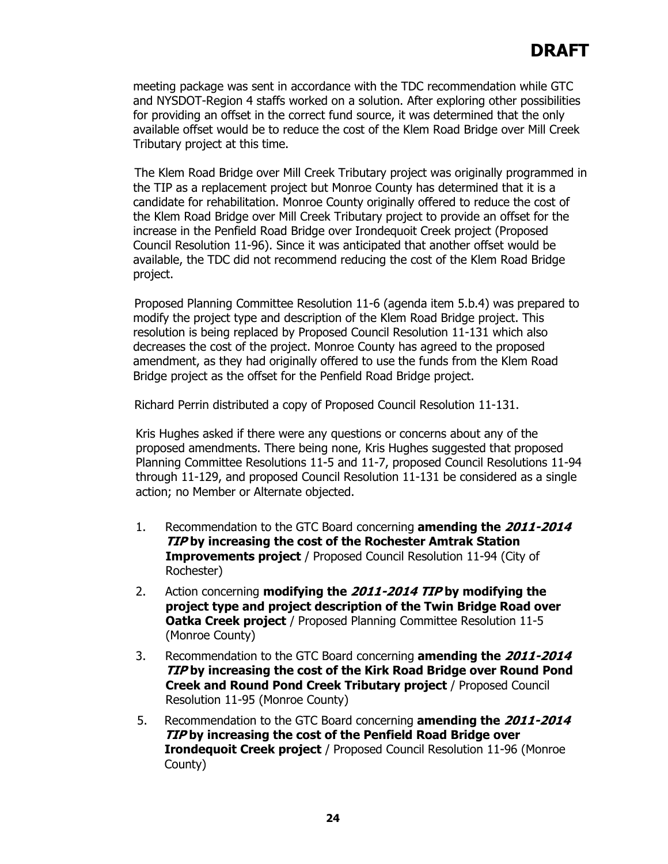meeting package was sent in accordance with the TDC recommendation while GTC and NYSDOT-Region 4 staffs worked on a solution. After exploring other possibilities for providing an offset in the correct fund source, it was determined that the only available offset would be to reduce the cost of the Klem Road Bridge over Mill Creek Tributary project at this time.

The Klem Road Bridge over Mill Creek Tributary project was originally programmed in the TIP as a replacement project but Monroe County has determined that it is a candidate for rehabilitation. Monroe County originally offered to reduce the cost of the Klem Road Bridge over Mill Creek Tributary project to provide an offset for the increase in the Penfield Road Bridge over Irondequoit Creek project (Proposed Council Resolution 11-96). Since it was anticipated that another offset would be available, the TDC did not recommend reducing the cost of the Klem Road Bridge project.

Proposed Planning Committee Resolution 11-6 (agenda item 5.b.4) was prepared to modify the project type and description of the Klem Road Bridge project. This resolution is being replaced by Proposed Council Resolution 11-131 which also decreases the cost of the project. Monroe County has agreed to the proposed amendment, as they had originally offered to use the funds from the Klem Road Bridge project as the offset for the Penfield Road Bridge project.

Richard Perrin distributed a copy of Proposed Council Resolution 11-131.

Kris Hughes asked if there were any questions or concerns about any of the proposed amendments. There being none, Kris Hughes suggested that proposed Planning Committee Resolutions 11-5 and 11-7, proposed Council Resolutions 11-94 through 11-129, and proposed Council Resolution 11-131 be considered as a single action; no Member or Alternate objected.

- 1. Recommendation to the GTC Board concerning **amending the 2011-2014 TIP by increasing the cost of the Rochester Amtrak Station Improvements project** / Proposed Council Resolution 11-94 (City of Rochester)
- 2. Action concerning **modifying the 2011-2014 TIP by modifying the project type and project description of the Twin Bridge Road over Oatka Creek project** / Proposed Planning Committee Resolution 11-5 (Monroe County)
- 3. Recommendation to the GTC Board concerning **amending the 2011-2014 TIP by increasing the cost of the Kirk Road Bridge over Round Pond Creek and Round Pond Creek Tributary project** / Proposed Council Resolution 11-95 (Monroe County)
- 5. Recommendation to the GTC Board concerning **amending the 2011-2014 TIP by increasing the cost of the Penfield Road Bridge over Irondequoit Creek project** / Proposed Council Resolution 11-96 (Monroe County)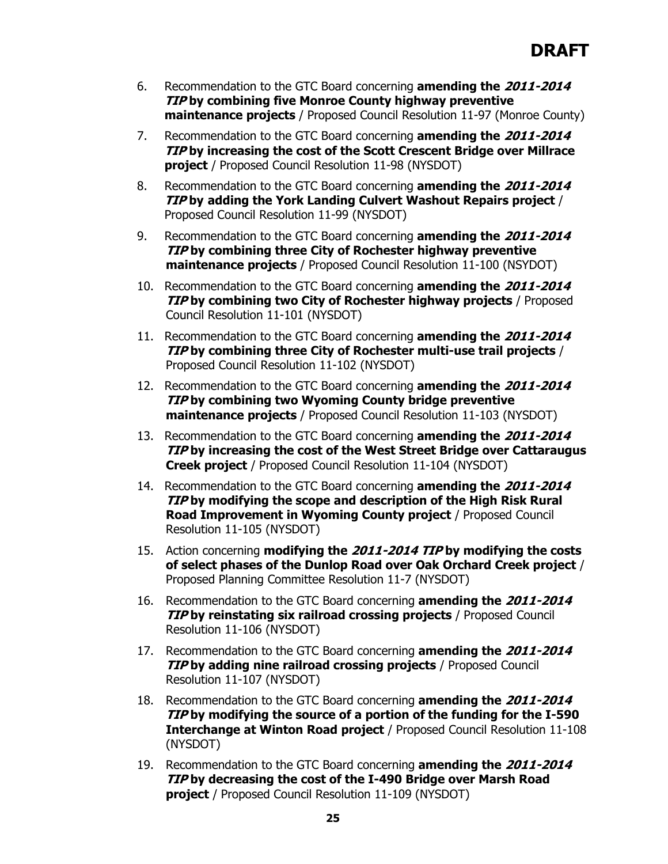- 6. Recommendation to the GTC Board concerning **amending the 2011-2014 TIP by combining five Monroe County highway preventive maintenance projects** / Proposed Council Resolution 11-97 (Monroe County)
- 7. Recommendation to the GTC Board concerning **amending the 2011-2014 TIP by increasing the cost of the Scott Crescent Bridge over Millrace project** / Proposed Council Resolution 11-98 (NYSDOT)
- 8. Recommendation to the GTC Board concerning **amending the 2011-2014 TIP by adding the York Landing Culvert Washout Repairs project** / Proposed Council Resolution 11-99 (NYSDOT)
- 9. Recommendation to the GTC Board concerning **amending the 2011-2014 TIP by combining three City of Rochester highway preventive maintenance projects** / Proposed Council Resolution 11-100 (NSYDOT)
- 10. Recommendation to the GTC Board concerning **amending the 2011-2014 TIP by combining two City of Rochester highway projects** / Proposed Council Resolution 11-101 (NYSDOT)
- 11. Recommendation to the GTC Board concerning **amending the 2011-2014 TIP by combining three City of Rochester multi-use trail projects** / Proposed Council Resolution 11-102 (NYSDOT)
- 12. Recommendation to the GTC Board concerning **amending the 2011-2014 TIP by combining two Wyoming County bridge preventive maintenance projects** / Proposed Council Resolution 11-103 (NYSDOT)
- 13. Recommendation to the GTC Board concerning **amending the 2011-2014 TIP by increasing the cost of the West Street Bridge over Cattaraugus Creek project** / Proposed Council Resolution 11-104 (NYSDOT)
- 14. Recommendation to the GTC Board concerning **amending the 2011-2014 TIP by modifying the scope and description of the High Risk Rural Road Improvement in Wyoming County project** / Proposed Council Resolution 11-105 (NYSDOT)
- 15. Action concerning **modifying the 2011-2014 TIP by modifying the costs of select phases of the Dunlop Road over Oak Orchard Creek project** / Proposed Planning Committee Resolution 11-7 (NYSDOT)
- 16. Recommendation to the GTC Board concerning **amending the 2011-2014 TIP by reinstating six railroad crossing projects** / Proposed Council Resolution 11-106 (NYSDOT)
- 17. Recommendation to the GTC Board concerning **amending the 2011-2014 TIP** by adding nine railroad crossing projects / Proposed Council Resolution 11-107 (NYSDOT)
- 18. Recommendation to the GTC Board concerning **amending the 2011-2014 TIP by modifying the source of a portion of the funding for the I-590 Interchange at Winton Road project** / Proposed Council Resolution 11-108 (NYSDOT)
- 19. Recommendation to the GTC Board concerning **amending the 2011-2014 TIP by decreasing the cost of the I-490 Bridge over Marsh Road project** / Proposed Council Resolution 11-109 (NYSDOT)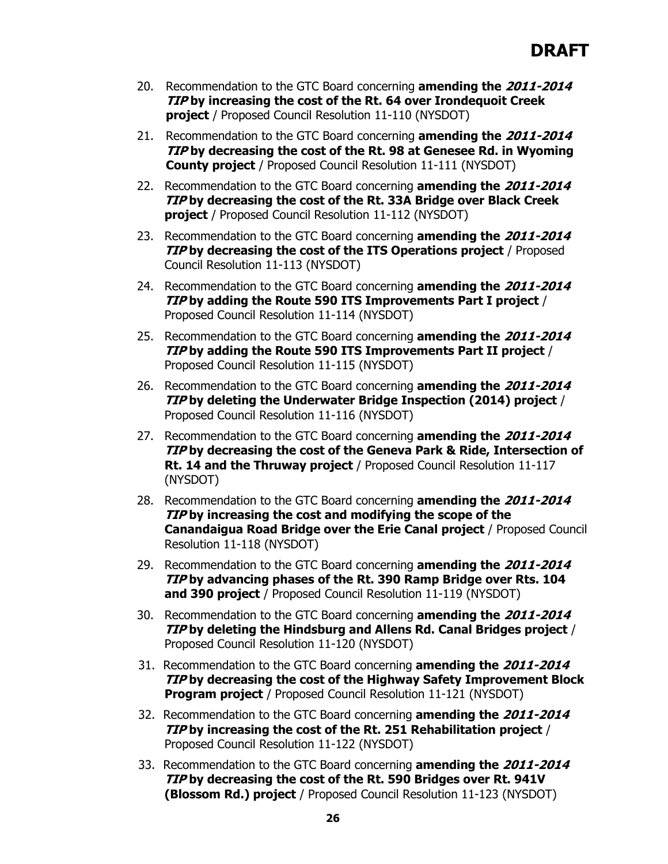- 20. Recommendation to the GTC Board concerning **amending the 2011-2014 TIP by increasing the cost of the Rt. 64 over Irondequoit Creek project** / Proposed Council Resolution 11-110 (NYSDOT)
- 21. Recommendation to the GTC Board concerning **amending the 2011-2014 TIP by decreasing the cost of the Rt. 98 at Genesee Rd. in Wyoming County project** / Proposed Council Resolution 11-111 (NYSDOT)
- 22. Recommendation to the GTC Board concerning **amending the 2011-2014 TIP by decreasing the cost of the Rt. 33A Bridge over Black Creek project** / Proposed Council Resolution 11-112 (NYSDOT)
- 23. Recommendation to the GTC Board concerning **amending the 2011-2014 TIP by decreasing the cost of the ITS Operations project** / Proposed Council Resolution 11-113 (NYSDOT)
- 24. Recommendation to the GTC Board concerning **amending the 2011-2014 TIP by adding the Route 590 ITS Improvements Part I project** / Proposed Council Resolution 11-114 (NYSDOT)
- 25. Recommendation to the GTC Board concerning **amending the 2011-2014 TIP by adding the Route 590 ITS Improvements Part II project** / Proposed Council Resolution 11-115 (NYSDOT)
- 26. Recommendation to the GTC Board concerning **amending the 2011-2014 TIP by deleting the Underwater Bridge Inspection (2014) project** / Proposed Council Resolution 11-116 (NYSDOT)
- 27. Recommendation to the GTC Board concerning **amending the 2011-2014 TIP by decreasing the cost of the Geneva Park & Ride, Intersection of Rt. 14 and the Thruway project** / Proposed Council Resolution 11-117 (NYSDOT)
- 28. Recommendation to the GTC Board concerning **amending the 2011-2014 TIP by increasing the cost and modifying the scope of the Canandaigua Road Bridge over the Erie Canal project** / Proposed Council Resolution 11-118 (NYSDOT)
- 29. Recommendation to the GTC Board concerning **amending the 2011-2014 TIP by advancing phases of the Rt. 390 Ramp Bridge over Rts. 104 and 390 project** / Proposed Council Resolution 11-119 (NYSDOT)
- 30. Recommendation to the GTC Board concerning **amending the 2011-2014 TIP by deleting the Hindsburg and Allens Rd. Canal Bridges project** / Proposed Council Resolution 11-120 (NYSDOT)
- 31. Recommendation to the GTC Board concerning **amending the 2011-2014 TIP by decreasing the cost of the Highway Safety Improvement Block Program project** / Proposed Council Resolution 11-121 (NYSDOT)
- 32. Recommendation to the GTC Board concerning **amending the 2011-2014 TIP by increasing the cost of the Rt. 251 Rehabilitation project** / Proposed Council Resolution 11-122 (NYSDOT)
- 33. Recommendation to the GTC Board concerning **amending the 2011-2014 TIP by decreasing the cost of the Rt. 590 Bridges over Rt. 941V (Blossom Rd.) project** / Proposed Council Resolution 11-123 (NYSDOT)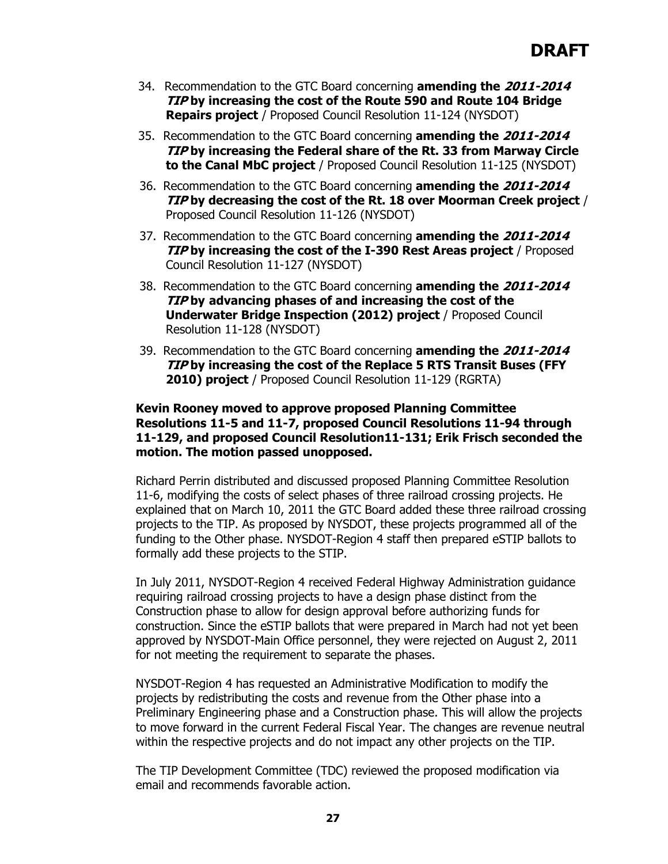- 34. Recommendation to the GTC Board concerning **amending the 2011-2014 TIP by increasing the cost of the Route 590 and Route 104 Bridge Repairs project** / Proposed Council Resolution 11-124 (NYSDOT)
- 35. Recommendation to the GTC Board concerning **amending the 2011-2014 TIP by increasing the Federal share of the Rt. 33 from Marway Circle to the Canal MbC project** / Proposed Council Resolution 11-125 (NYSDOT)
- 36. Recommendation to the GTC Board concerning **amending the 2011-2014 TIP by decreasing the cost of the Rt. 18 over Moorman Creek project** / Proposed Council Resolution 11-126 (NYSDOT)
- 37. Recommendation to the GTC Board concerning **amending the 2011-2014 TIP by increasing the cost of the I-390 Rest Areas project** / Proposed Council Resolution 11-127 (NYSDOT)
- 38. Recommendation to the GTC Board concerning **amending the 2011-2014 TIP by advancing phases of and increasing the cost of the Underwater Bridge Inspection (2012) project** / Proposed Council Resolution 11-128 (NYSDOT)
- 39. Recommendation to the GTC Board concerning **amending the 2011-2014 TIP by increasing the cost of the Replace 5 RTS Transit Buses (FFY 2010) project** / Proposed Council Resolution 11-129 (RGRTA)

## **Kevin Rooney moved to approve proposed Planning Committee Resolutions 11-5 and 11-7, proposed Council Resolutions 11-94 through 11-129, and proposed Council Resolution11-131; Erik Frisch seconded the motion. The motion passed unopposed.**

Richard Perrin distributed and discussed proposed Planning Committee Resolution 11-6, modifying the costs of select phases of three railroad crossing projects. He explained that on March 10, 2011 the GTC Board added these three railroad crossing projects to the TIP. As proposed by NYSDOT, these projects programmed all of the funding to the Other phase. NYSDOT-Region 4 staff then prepared eSTIP ballots to formally add these projects to the STIP.

In July 2011, NYSDOT-Region 4 received Federal Highway Administration guidance requiring railroad crossing projects to have a design phase distinct from the Construction phase to allow for design approval before authorizing funds for construction. Since the eSTIP ballots that were prepared in March had not yet been approved by NYSDOT-Main Office personnel, they were rejected on August 2, 2011 for not meeting the requirement to separate the phases.

NYSDOT-Region 4 has requested an Administrative Modification to modify the projects by redistributing the costs and revenue from the Other phase into a Preliminary Engineering phase and a Construction phase. This will allow the projects to move forward in the current Federal Fiscal Year. The changes are revenue neutral within the respective projects and do not impact any other projects on the TIP.

The TIP Development Committee (TDC) reviewed the proposed modification via email and recommends favorable action.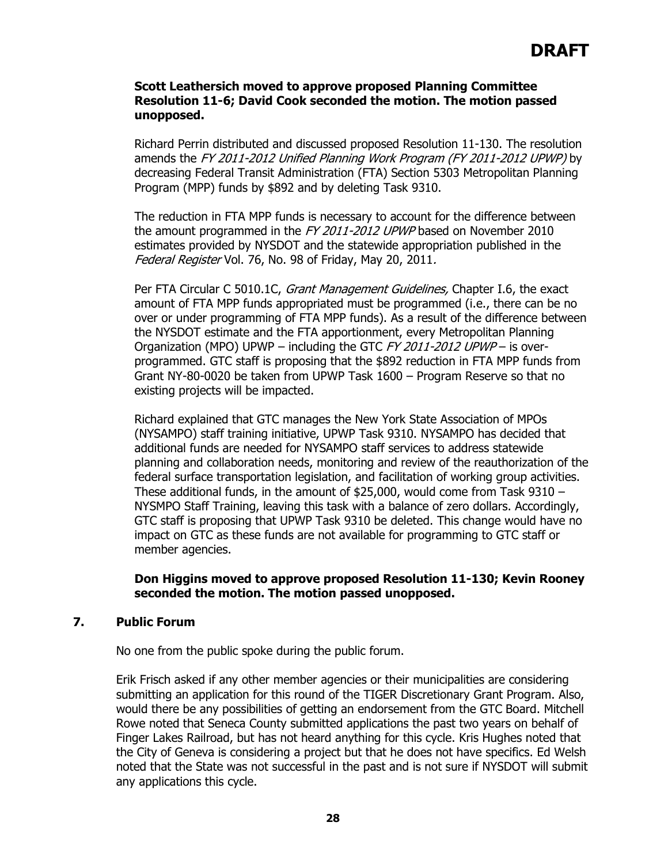#### **Scott Leathersich moved to approve proposed Planning Committee Resolution 11-6; David Cook seconded the motion. The motion passed unopposed.**

Richard Perrin distributed and discussed proposed Resolution 11-130. The resolution amends the FY 2011-2012 Unified Planning Work Program (FY 2011-2012 UPWP) by decreasing Federal Transit Administration (FTA) Section 5303 Metropolitan Planning Program (MPP) funds by \$892 and by deleting Task 9310.

The reduction in FTA MPP funds is necessary to account for the difference between the amount programmed in the FY 2011-2012 UPWP based on November 2010 estimates provided by NYSDOT and the statewide appropriation published in the Federal Register Vol. 76, No. 98 of Friday, May 20, 2011.

Per FTA Circular C 5010.1C, Grant Management Guidelines, Chapter I.6, the exact amount of FTA MPP funds appropriated must be programmed (i.e., there can be no over or under programming of FTA MPP funds). As a result of the difference between the NYSDOT estimate and the FTA apportionment, every Metropolitan Planning Organization (MPO) UPWP – including the GTC FY 2011-2012 UPWP – is overprogrammed. GTC staff is proposing that the \$892 reduction in FTA MPP funds from Grant NY-80-0020 be taken from UPWP Task 1600 – Program Reserve so that no existing projects will be impacted.

Richard explained that GTC manages the New York State Association of MPOs (NYSAMPO) staff training initiative, UPWP Task 9310. NYSAMPO has decided that additional funds are needed for NYSAMPO staff services to address statewide planning and collaboration needs, monitoring and review of the reauthorization of the federal surface transportation legislation, and facilitation of working group activities. These additional funds, in the amount of \$25,000, would come from Task 9310 – NYSMPO Staff Training, leaving this task with a balance of zero dollars. Accordingly, GTC staff is proposing that UPWP Task 9310 be deleted. This change would have no impact on GTC as these funds are not available for programming to GTC staff or member agencies.

## **Don Higgins moved to approve proposed Resolution 11-130; Kevin Rooney seconded the motion. The motion passed unopposed.**

## **7. Public Forum**

No one from the public spoke during the public forum.

Erik Frisch asked if any other member agencies or their municipalities are considering submitting an application for this round of the TIGER Discretionary Grant Program. Also, would there be any possibilities of getting an endorsement from the GTC Board. Mitchell Rowe noted that Seneca County submitted applications the past two years on behalf of Finger Lakes Railroad, but has not heard anything for this cycle. Kris Hughes noted that the City of Geneva is considering a project but that he does not have specifics. Ed Welsh noted that the State was not successful in the past and is not sure if NYSDOT will submit any applications this cycle.